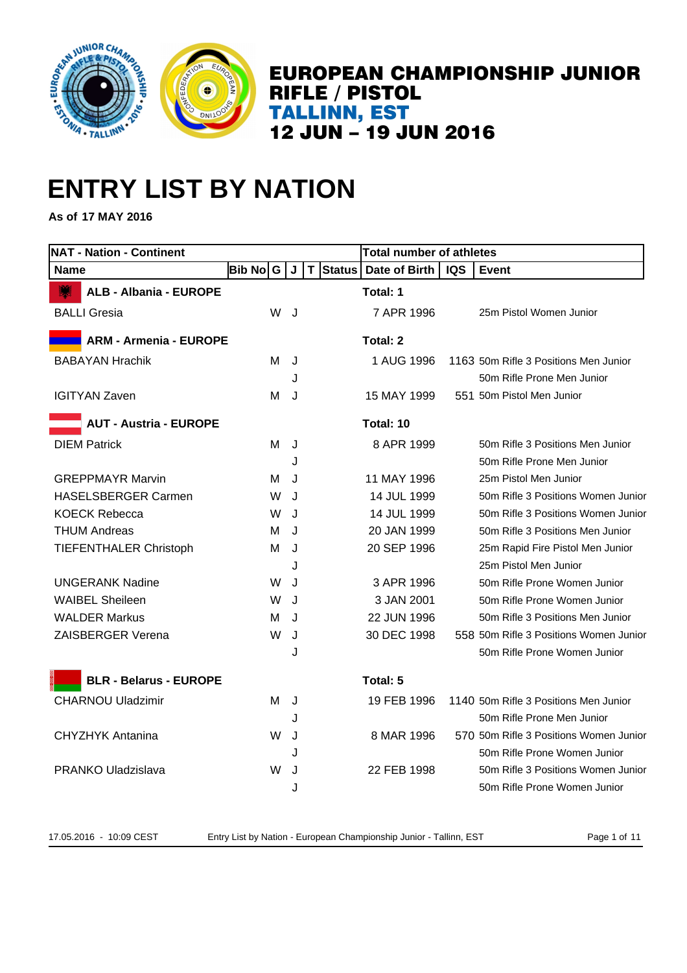

# **ENTRY LIST BY NATION**

**As of 17 MAY 2016**

| <b>NAT - Nation - Continent</b> |          |   |         |          | <b>Total number of athletes</b> |            |                                        |
|---------------------------------|----------|---|---------|----------|---------------------------------|------------|----------------------------------------|
| <b>Name</b>                     | Bib No│G |   | J       | T Status | Date of Birth                   | <b>IQS</b> | Event                                  |
| <b>ALB - Albania - EUROPE</b>   |          |   |         |          | Total: 1                        |            |                                        |
| <b>BALLI Gresia</b>             |          | W | J       |          | 7 APR 1996                      |            | 25m Pistol Women Junior                |
| <b>ARM - Armenia - EUROPE</b>   |          |   |         |          | Total: 2                        |            |                                        |
| <b>BABAYAN Hrachik</b>          |          | м | J       |          | 1 AUG 1996                      |            | 1163 50m Rifle 3 Positions Men Junior  |
|                                 |          |   | J       |          |                                 |            | 50m Rifle Prone Men Junior             |
| <b>IGITYAN Zaven</b>            | м        |   | J       |          | 15 MAY 1999                     |            | 551 50m Pistol Men Junior              |
| <b>AUT - Austria - EUROPE</b>   |          |   |         |          | Total: 10                       |            |                                        |
| <b>DIEM Patrick</b>             |          | м | J       |          | 8 APR 1999                      |            | 50m Rifle 3 Positions Men Junior       |
|                                 |          |   | J       |          |                                 |            | 50m Rifle Prone Men Junior             |
| <b>GREPPMAYR Marvin</b>         |          | м | J       |          | 11 MAY 1996                     |            | 25m Pistol Men Junior                  |
| <b>HASELSBERGER Carmen</b>      |          | W | J       |          | 14 JUL 1999                     |            | 50m Rifle 3 Positions Women Junior     |
| <b>KOECK Rebecca</b>            |          | W | J       |          | 14 JUL 1999                     |            | 50m Rifle 3 Positions Women Junior     |
| <b>THUM Andreas</b>             |          | м | $\cdot$ |          | 20 JAN 1999                     |            | 50m Rifle 3 Positions Men Junior       |
| <b>TIEFENTHALER Christoph</b>   | м        |   | J       |          | 20 SEP 1996                     |            | 25m Rapid Fire Pistol Men Junior       |
|                                 |          |   | J       |          |                                 |            | 25m Pistol Men Junior                  |
| <b>UNGERANK Nadine</b>          |          | W | J       |          | 3 APR 1996                      |            | 50m Rifle Prone Women Junior           |
| <b>WAIBEL Sheileen</b>          |          | W | J       |          | 3 JAN 2001                      |            | 50m Rifle Prone Women Junior           |
| <b>WALDER Markus</b>            |          | м | J       |          | 22 JUN 1996                     |            | 50m Rifle 3 Positions Men Junior       |
| ZAISBERGER Verena               |          | W | J       |          | 30 DEC 1998                     |            | 558 50m Rifle 3 Positions Women Junior |
|                                 |          |   | J       |          |                                 |            | 50m Rifle Prone Women Junior           |
| <b>BLR - Belarus - EUROPE</b>   |          |   |         |          | Total: 5                        |            |                                        |
| <b>CHARNOU Uladzimir</b>        | M        |   | J       |          | 19 FEB 1996                     |            | 1140 50m Rifle 3 Positions Men Junior  |
|                                 |          |   | J       |          |                                 |            | 50m Rifle Prone Men Junior             |
| <b>CHYZHYK Antanina</b>         |          | W | J       |          | 8 MAR 1996                      |            | 570 50m Rifle 3 Positions Women Junior |
|                                 |          |   | J       |          |                                 |            | 50m Rifle Prone Women Junior           |
| PRANKO Uladzislava              |          | W | J       |          | 22 FEB 1998                     |            | 50m Rifle 3 Positions Women Junior     |
|                                 |          |   | J       |          |                                 |            | 50m Rifle Prone Women Junior           |

17.05.2016 - 10:09 CEST Entry List by Nation - European Championship Junior - Tallinn, EST Page 1 of 11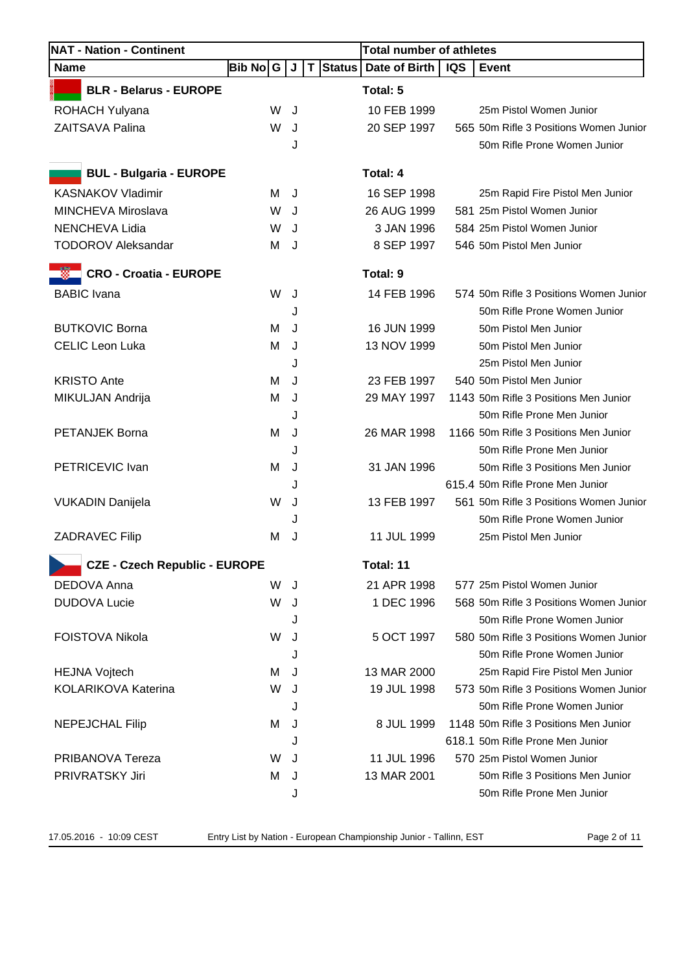| <b>NAT - Nation - Continent</b>                                  |          |   |          | <b>Total number of athletes</b> |            |                                        |  |
|------------------------------------------------------------------|----------|---|----------|---------------------------------|------------|----------------------------------------|--|
| <b>Name</b>                                                      | Bib No∣G | J | T Status | Date of Birth                   | <b>IQS</b> | Event                                  |  |
| <b>BLR - Belarus - EUROPE</b>                                    |          |   |          | Total: 5                        |            |                                        |  |
| <b>ROHACH Yulyana</b>                                            | W        | J |          | 10 FEB 1999                     |            | 25m Pistol Women Junior                |  |
| <b>ZAITSAVA Palina</b>                                           | W        | J |          | 20 SEP 1997                     |            | 565 50m Rifle 3 Positions Women Junior |  |
|                                                                  |          | J |          |                                 |            | 50m Rifle Prone Women Junior           |  |
| <b>BUL - Bulgaria - EUROPE</b>                                   |          |   |          | <b>Total: 4</b>                 |            |                                        |  |
| <b>KASNAKOV Vladimir</b>                                         | м        | J |          | 16 SEP 1998                     |            | 25m Rapid Fire Pistol Men Junior       |  |
| MINCHEVA Miroslava                                               | W        | J |          | 26 AUG 1999                     |            | 581 25m Pistol Women Junior            |  |
| NENCHEVA Lidia                                                   | W        | J |          | 3 JAN 1996                      |            | 584 25m Pistol Women Junior            |  |
| <b>TODOROV Aleksandar</b>                                        | М        | J |          | 8 SEP 1997                      |            | 546 50m Pistol Men Junior              |  |
| <b>CRO - Croatia - EUROPE</b>                                    |          |   |          | Total: 9                        |            |                                        |  |
| <b>BABIC</b> Ivana                                               | W        | J |          | 14 FEB 1996                     |            | 574 50m Rifle 3 Positions Women Junior |  |
|                                                                  |          | J |          |                                 |            | 50m Rifle Prone Women Junior           |  |
| <b>BUTKOVIC Borna</b>                                            | м        | J |          | 16 JUN 1999                     |            | 50m Pistol Men Junior                  |  |
| <b>CELIC Leon Luka</b>                                           | M        | J |          | 13 NOV 1999                     |            | 50m Pistol Men Junior                  |  |
|                                                                  |          | J |          |                                 |            | 25m Pistol Men Junior                  |  |
| <b>KRISTO Ante</b>                                               | м        | J |          | 23 FEB 1997                     |            | 540 50m Pistol Men Junior              |  |
| MIKULJAN Andrija                                                 | M        | J |          | 29 MAY 1997                     |            | 1143 50m Rifle 3 Positions Men Junior  |  |
|                                                                  |          | J |          |                                 |            | 50m Rifle Prone Men Junior             |  |
| PETANJEK Borna                                                   | M        | J |          | 26 MAR 1998                     |            | 1166 50m Rifle 3 Positions Men Junior  |  |
|                                                                  |          | J |          |                                 |            | 50m Rifle Prone Men Junior             |  |
| PETRICEVIC Ivan                                                  | м        | J |          | 31 JAN 1996                     |            | 50m Rifle 3 Positions Men Junior       |  |
|                                                                  |          | J |          |                                 |            | 615.4 50m Rifle Prone Men Junior       |  |
| <b>VUKADIN Danijela</b>                                          | W        | J |          | 13 FEB 1997                     |            | 561 50m Rifle 3 Positions Women Junior |  |
|                                                                  |          | J |          |                                 |            | 50m Rifle Prone Women Junior           |  |
| <b>ZADRAVEC Filip</b>                                            | м        | J |          | 11 JUL 1999                     |            | 25m Pistol Men Junior                  |  |
| <b>Contract Contract</b><br><b>CZE - Czech Republic - EUROPE</b> |          |   |          | Total: 11                       |            |                                        |  |
| DEDOVA Anna                                                      | W        | J |          | 21 APR 1998                     |            | 577 25m Pistol Women Junior            |  |
| <b>DUDOVA Lucie</b>                                              | W        | J |          | 1 DEC 1996                      |            | 568 50m Rifle 3 Positions Women Junior |  |
|                                                                  |          | J |          |                                 |            | 50m Rifle Prone Women Junior           |  |
| <b>FOISTOVA Nikola</b>                                           | W        | J |          | 5 OCT 1997                      |            | 580 50m Rifle 3 Positions Women Junior |  |
|                                                                  |          | J |          |                                 |            | 50m Rifle Prone Women Junior           |  |
| <b>HEJNA Vojtech</b>                                             | м        | J |          | 13 MAR 2000                     |            | 25m Rapid Fire Pistol Men Junior       |  |
| KOLARIKOVA Katerina                                              | W        | J |          | 19 JUL 1998                     |            | 573 50m Rifle 3 Positions Women Junior |  |
|                                                                  |          | J |          |                                 |            | 50m Rifle Prone Women Junior           |  |
| <b>NEPEJCHAL Filip</b>                                           | м        | J |          | 8 JUL 1999                      |            | 1148 50m Rifle 3 Positions Men Junior  |  |
|                                                                  |          | J |          |                                 |            | 618.1 50m Rifle Prone Men Junior       |  |
| PRIBANOVA Tereza                                                 | W        | J |          | 11 JUL 1996                     |            | 570 25m Pistol Women Junior            |  |
| PRIVRATSKY Jiri                                                  | м        | J |          | 13 MAR 2001                     |            | 50m Rifle 3 Positions Men Junior       |  |
|                                                                  |          | J |          |                                 |            | 50m Rifle Prone Men Junior             |  |

17.05.2016 - 10:09 CEST Entry List by Nation - European Championship Junior - Tallinn, EST Page 2 of 11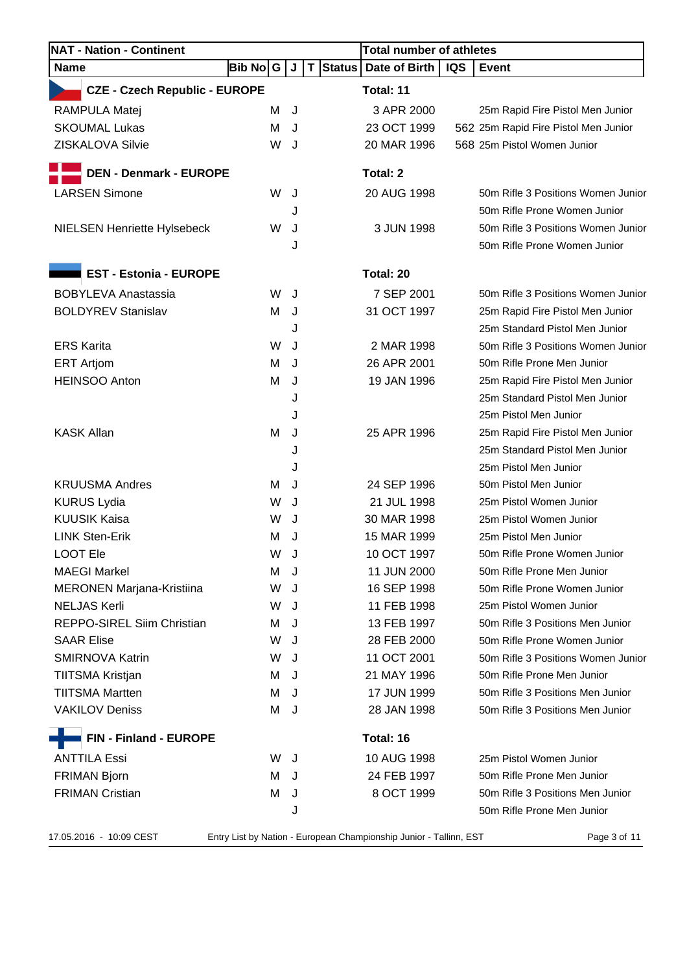| Bib No  G<br><b>CZE - Czech Republic - EUROPE</b><br>м<br>M<br>W | J<br>J<br>J<br>J | $\mathsf T$      | Status   Date of Birth<br>Total: 11<br>3 APR 2000 | <b>IQS</b>                            | <b>Event</b>                         |
|------------------------------------------------------------------|------------------|------------------|---------------------------------------------------|---------------------------------------|--------------------------------------|
|                                                                  |                  |                  |                                                   |                                       |                                      |
|                                                                  |                  |                  |                                                   |                                       |                                      |
|                                                                  |                  |                  |                                                   |                                       | 25m Rapid Fire Pistol Men Junior     |
|                                                                  |                  |                  | 23 OCT 1999                                       |                                       | 562 25m Rapid Fire Pistol Men Junior |
|                                                                  |                  |                  | 20 MAR 1996                                       |                                       | 568 25m Pistol Women Junior          |
|                                                                  |                  |                  |                                                   |                                       |                                      |
|                                                                  |                  |                  |                                                   |                                       | 50m Rifle 3 Positions Women Junior   |
|                                                                  |                  |                  |                                                   |                                       | 50m Rifle Prone Women Junior         |
|                                                                  |                  |                  |                                                   |                                       | 50m Rifle 3 Positions Women Junior   |
|                                                                  |                  |                  |                                                   |                                       | 50m Rifle Prone Women Junior         |
|                                                                  |                  |                  |                                                   |                                       |                                      |
|                                                                  |                  |                  | Total: 20                                         |                                       |                                      |
| W                                                                | J                |                  | 7 SEP 2001                                        |                                       | 50m Rifle 3 Positions Women Junior   |
| М                                                                | J                |                  | 31 OCT 1997                                       |                                       | 25m Rapid Fire Pistol Men Junior     |
|                                                                  | J                |                  |                                                   |                                       | 25m Standard Pistol Men Junior       |
| W                                                                | J                |                  | 2 MAR 1998                                        |                                       | 50m Rifle 3 Positions Women Junior   |
| M                                                                | J                |                  | 26 APR 2001                                       |                                       | 50m Rifle Prone Men Junior           |
| м                                                                | J                |                  | 19 JAN 1996                                       |                                       | 25m Rapid Fire Pistol Men Junior     |
|                                                                  | J                |                  |                                                   |                                       | 25m Standard Pistol Men Junior       |
|                                                                  | J                |                  |                                                   |                                       | 25m Pistol Men Junior                |
| M                                                                | J                |                  | 25 APR 1996                                       |                                       | 25m Rapid Fire Pistol Men Junior     |
|                                                                  | J                |                  |                                                   |                                       | 25m Standard Pistol Men Junior       |
|                                                                  | J                |                  |                                                   |                                       | 25m Pistol Men Junior                |
| м                                                                | J                |                  | 24 SEP 1996                                       |                                       | 50m Pistol Men Junior                |
| W                                                                | J                |                  | 21 JUL 1998                                       |                                       | 25m Pistol Women Junior              |
| W                                                                | J                |                  | 30 MAR 1998                                       |                                       | 25m Pistol Women Junior              |
| м                                                                | J                |                  | 15 MAR 1999                                       |                                       | 25m Pistol Men Junior                |
| W                                                                | J                |                  | 10 OCT 1997                                       |                                       | 50m Rifle Prone Women Junior         |
| м                                                                | J                |                  | 11 JUN 2000                                       |                                       | 50m Rifle Prone Men Junior           |
| W                                                                | J                |                  | 16 SEP 1998                                       |                                       | 50m Rifle Prone Women Junior         |
| W                                                                | J                |                  | 11 FEB 1998                                       |                                       | 25m Pistol Women Junior              |
| M                                                                | J                |                  | 13 FEB 1997                                       |                                       | 50m Rifle 3 Positions Men Junior     |
| W                                                                | J                |                  | 28 FEB 2000                                       |                                       | 50m Rifle Prone Women Junior         |
| W                                                                | J                |                  | 11 OCT 2001                                       |                                       | 50m Rifle 3 Positions Women Junior   |
| M                                                                | J                |                  | 21 MAY 1996                                       |                                       | 50m Rifle Prone Men Junior           |
| м                                                                | J                |                  | 17 JUN 1999                                       |                                       | 50m Rifle 3 Positions Men Junior     |
| M                                                                | J                |                  | 28 JAN 1998                                       |                                       | 50m Rifle 3 Positions Men Junior     |
|                                                                  |                  |                  | Total: 16                                         |                                       |                                      |
| W.                                                               | J                |                  | 10 AUG 1998                                       |                                       | 25m Pistol Women Junior              |
| м                                                                | J                |                  | 24 FEB 1997                                       |                                       | 50m Rifle Prone Men Junior           |
| M                                                                | J                |                  | 8 OCT 1999                                        |                                       | 50m Rifle 3 Positions Men Junior     |
|                                                                  | J                |                  |                                                   |                                       | 50m Rifle Prone Men Junior           |
|                                                                  | W<br>W           | J<br>J<br>J<br>J |                                                   | Total: 2<br>20 AUG 1998<br>3 JUN 1998 |                                      |

17.05.2016 - 10:09 CEST Entry List by Nation - European Championship Junior - Tallinn, EST Page 3 of 11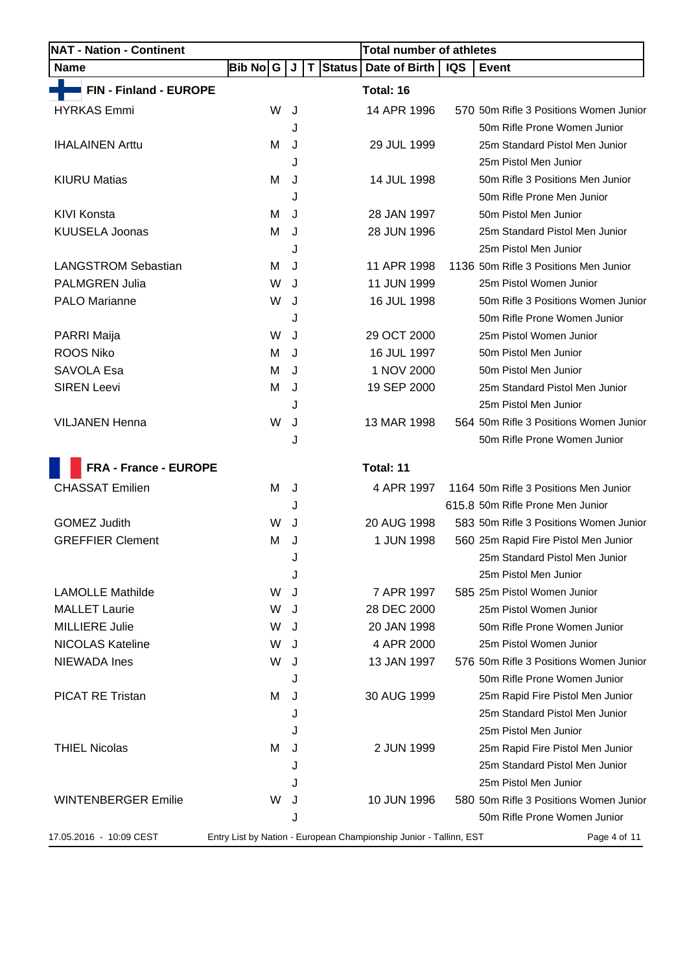| <b>NAT - Nation - Continent</b> |           |   |                              | <b>Total number of athletes</b>                                    |            |                                        |
|---------------------------------|-----------|---|------------------------------|--------------------------------------------------------------------|------------|----------------------------------------|
| <b>Name</b>                     | Bib No∣ G | J | <b>Status</b><br>$\mathbf T$ | Date of Birth                                                      | <b>IQS</b> | Event                                  |
| FIN - Finland - EUROPE          |           |   |                              | Total: 16                                                          |            |                                        |
| <b>HYRKAS Emmi</b>              | W         | J |                              | 14 APR 1996                                                        |            | 570 50m Rifle 3 Positions Women Junior |
|                                 |           | J |                              |                                                                    |            | 50m Rifle Prone Women Junior           |
| <b>IHALAINEN Arttu</b>          | м         | J |                              | 29 JUL 1999                                                        |            | 25m Standard Pistol Men Junior         |
|                                 |           | J |                              |                                                                    |            | 25m Pistol Men Junior                  |
| <b>KIURU Matias</b>             | м         | J |                              | 14 JUL 1998                                                        |            | 50m Rifle 3 Positions Men Junior       |
|                                 |           | J |                              |                                                                    |            | 50m Rifle Prone Men Junior             |
| <b>KIVI Konsta</b>              | м         | J |                              | 28 JAN 1997                                                        |            | 50m Pistol Men Junior                  |
| <b>KUUSELA Joonas</b>           | м         | J |                              | 28 JUN 1996                                                        |            | 25m Standard Pistol Men Junior         |
|                                 |           | J |                              |                                                                    |            | 25m Pistol Men Junior                  |
| <b>LANGSTROM Sebastian</b>      | М         | J |                              | 11 APR 1998                                                        |            | 1136 50m Rifle 3 Positions Men Junior  |
| <b>PALMGREN Julia</b>           | W         | J |                              | 11 JUN 1999                                                        |            | 25m Pistol Women Junior                |
| <b>PALO Marianne</b>            | W         | J |                              | 16 JUL 1998                                                        |            | 50m Rifle 3 Positions Women Junior     |
|                                 |           | J |                              |                                                                    |            | 50m Rifle Prone Women Junior           |
| PARRI Maija                     | W         | J |                              | 29 OCT 2000                                                        |            | 25m Pistol Women Junior                |
| <b>ROOS Niko</b>                | м         | J |                              | 16 JUL 1997                                                        |            | 50m Pistol Men Junior                  |
| SAVOLA Esa                      | м         | J |                              | 1 NOV 2000                                                         |            | 50m Pistol Men Junior                  |
| <b>SIREN Leevi</b>              | M         | J |                              | 19 SEP 2000                                                        |            | 25m Standard Pistol Men Junior         |
|                                 |           | J |                              |                                                                    |            | 25m Pistol Men Junior                  |
| <b>VILJANEN Henna</b>           | W         | J |                              | 13 MAR 1998                                                        |            | 564 50m Rifle 3 Positions Women Junior |
|                                 |           | J |                              |                                                                    |            | 50m Rifle Prone Women Junior           |
| <b>FRA - France - EUROPE</b>    |           |   |                              | Total: 11                                                          |            |                                        |
| <b>CHASSAT Emilien</b>          | м         | J |                              | 4 APR 1997                                                         |            | 1164 50m Rifle 3 Positions Men Junior  |
|                                 |           | J |                              |                                                                    |            | 615.8 50m Rifle Prone Men Junior       |
| <b>GOMEZ Judith</b>             | W         | J |                              | 20 AUG 1998                                                        |            | 583 50m Rifle 3 Positions Women Junior |
| <b>GREFFIER Clement</b>         | M         | J |                              | 1 JUN 1998                                                         |            | 560 25m Rapid Fire Pistol Men Junior   |
|                                 |           |   |                              |                                                                    |            | 25m Standard Pistol Men Junior         |
|                                 |           | J |                              |                                                                    |            | 25m Pistol Men Junior                  |
| <b>LAMOLLE Mathilde</b>         | W         | J |                              | 7 APR 1997                                                         |            | 585 25m Pistol Women Junior            |
| <b>MALLET Laurie</b>            | W         | J |                              | 28 DEC 2000                                                        |            | 25m Pistol Women Junior                |
| <b>MILLIERE Julie</b>           | W         | J |                              | 20 JAN 1998                                                        |            | 50m Rifle Prone Women Junior           |
| <b>NICOLAS Kateline</b>         | W         | J |                              | 4 APR 2000                                                         |            | 25m Pistol Women Junior                |
| <b>NIEWADA Ines</b>             | W         | J |                              | 13 JAN 1997                                                        |            | 576 50m Rifle 3 Positions Women Junior |
|                                 |           | J |                              |                                                                    |            | 50m Rifle Prone Women Junior           |
| <b>PICAT RE Tristan</b>         | м         | J |                              | 30 AUG 1999                                                        |            | 25m Rapid Fire Pistol Men Junior       |
|                                 |           | J |                              |                                                                    |            | 25m Standard Pistol Men Junior         |
|                                 |           | J |                              |                                                                    |            | 25m Pistol Men Junior                  |
| <b>THIEL Nicolas</b>            | м         | J |                              | 2 JUN 1999                                                         |            | 25m Rapid Fire Pistol Men Junior       |
|                                 |           | J |                              |                                                                    |            | 25m Standard Pistol Men Junior         |
|                                 |           | J |                              |                                                                    |            | 25m Pistol Men Junior                  |
| <b>WINTENBERGER Emilie</b>      | W         | J |                              | 10 JUN 1996                                                        |            | 580 50m Rifle 3 Positions Women Junior |
|                                 |           | J |                              |                                                                    |            | 50m Rifle Prone Women Junior           |
| 17.05.2016 - 10:09 CEST         |           |   |                              | Entry List by Nation - European Championship Junior - Tallinn, EST |            | Page 4 of 11                           |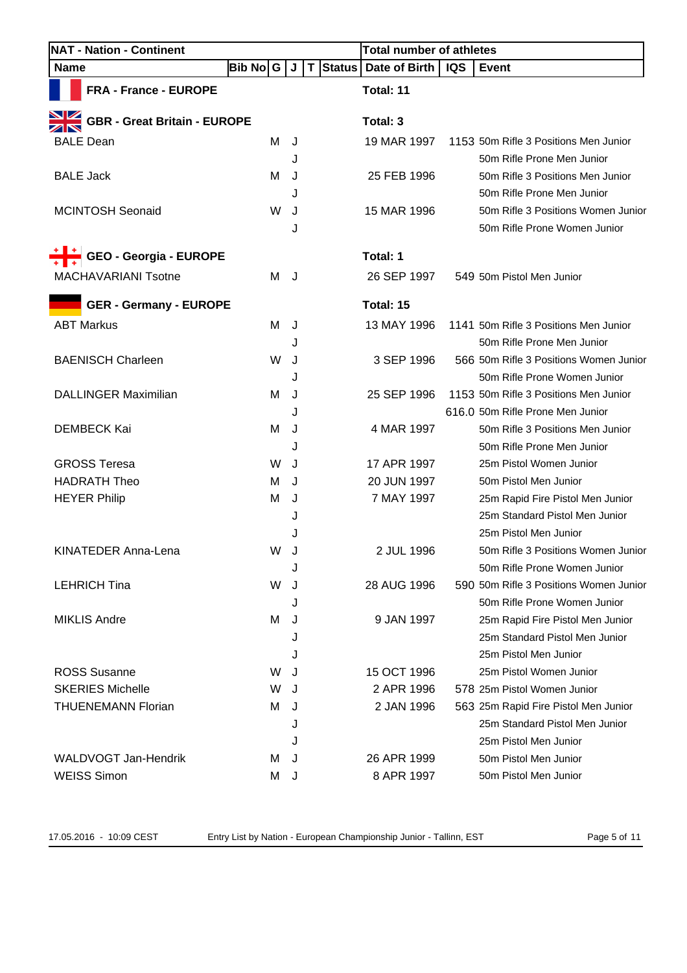| <b>NAT - Nation - Continent</b>     |          |   |          | <b>Total number of athletes</b> |            |                                        |
|-------------------------------------|----------|---|----------|---------------------------------|------------|----------------------------------------|
| <b>Name</b>                         | Bib No G | J | T Status | Date of Birth                   | <b>IQS</b> | <b>Event</b>                           |
| FRA - France - EUROPE               |          |   |          | Total: 11                       |            |                                        |
| <b>GBR - Great Britain - EUROPE</b> |          |   |          | Total: 3                        |            |                                        |
| <b>BALE Dean</b>                    | M        | J |          | 19 MAR 1997                     |            | 1153 50m Rifle 3 Positions Men Junior  |
|                                     |          | J |          |                                 |            | 50m Rifle Prone Men Junior             |
| <b>BALE Jack</b>                    | м        | J |          | 25 FEB 1996                     |            | 50m Rifle 3 Positions Men Junior       |
|                                     |          | J |          |                                 |            | 50m Rifle Prone Men Junior             |
| <b>MCINTOSH Seonaid</b>             | W        | J |          | 15 MAR 1996                     |            | 50m Rifle 3 Positions Women Junior     |
|                                     |          | J |          |                                 |            | 50m Rifle Prone Women Junior           |
| GEO - Georgia - EUROPE              |          |   |          | Total: 1                        |            |                                        |
| <b>MACHAVARIANI Tsotne</b>          | М        | J |          | 26 SEP 1997                     |            | 549 50m Pistol Men Junior              |
| <b>GER - Germany - EUROPE</b>       |          |   |          | Total: 15                       |            |                                        |
| <b>ABT Markus</b>                   | м        | J |          | 13 MAY 1996                     |            | 1141 50m Rifle 3 Positions Men Junior  |
|                                     |          | J |          |                                 |            | 50m Rifle Prone Men Junior             |
| <b>BAENISCH Charleen</b>            | W        | J |          | 3 SEP 1996                      |            | 566 50m Rifle 3 Positions Women Junior |
|                                     |          | J |          |                                 |            | 50m Rifle Prone Women Junior           |
| <b>DALLINGER Maximilian</b>         | м        | J |          | 25 SEP 1996                     |            | 1153 50m Rifle 3 Positions Men Junior  |
|                                     |          | J |          |                                 |            | 616.0 50m Rifle Prone Men Junior       |
| <b>DEMBECK Kai</b>                  | М        | J |          | 4 MAR 1997                      |            | 50m Rifle 3 Positions Men Junior       |
|                                     |          | J |          |                                 |            | 50m Rifle Prone Men Junior             |
| <b>GROSS Teresa</b>                 | W        | J |          | 17 APR 1997                     |            | 25m Pistol Women Junior                |
| <b>HADRATH Theo</b>                 | м        | J |          | 20 JUN 1997                     |            | 50m Pistol Men Junior                  |
| <b>HEYER Philip</b>                 | м        | J |          | 7 MAY 1997                      |            | 25m Rapid Fire Pistol Men Junior       |
|                                     |          | J |          |                                 |            | 25m Standard Pistol Men Junior         |
|                                     |          | J |          |                                 |            | 25m Pistol Men Junior                  |
| KINATEDER Anna-Lena                 | W        | J |          | 2 JUL 1996                      |            | 50m Rifle 3 Positions Women Junior     |
|                                     |          | J |          |                                 |            | 50m Rifle Prone Women Junior           |
| <b>LEHRICH Tina</b>                 | W        | J |          | 28 AUG 1996                     |            | 590 50m Rifle 3 Positions Women Junior |
|                                     |          | J |          |                                 |            | 50m Rifle Prone Women Junior           |
| <b>MIKLIS Andre</b>                 | M        | J |          | 9 JAN 1997                      |            | 25m Rapid Fire Pistol Men Junior       |
|                                     |          | J |          |                                 |            | 25m Standard Pistol Men Junior         |
|                                     |          | J |          |                                 |            | 25m Pistol Men Junior                  |
| <b>ROSS Susanne</b>                 | W        | J |          | 15 OCT 1996                     |            | 25m Pistol Women Junior                |
| <b>SKERIES Michelle</b>             | W        | J |          | 2 APR 1996                      |            | 578 25m Pistol Women Junior            |
| <b>THUENEMANN Florian</b>           | м        | J |          | 2 JAN 1996                      |            | 563 25m Rapid Fire Pistol Men Junior   |
|                                     |          | J |          |                                 |            | 25m Standard Pistol Men Junior         |
|                                     |          | J |          |                                 |            | 25m Pistol Men Junior                  |
| <b>WALDVOGT Jan-Hendrik</b>         | м        | J |          | 26 APR 1999                     |            | 50m Pistol Men Junior                  |
| <b>WEISS Simon</b>                  | м        | J |          | 8 APR 1997                      |            | 50m Pistol Men Junior                  |

17.05.2016 - 10:09 CEST Entry List by Nation - European Championship Junior - Tallinn, EST Page 5 of 11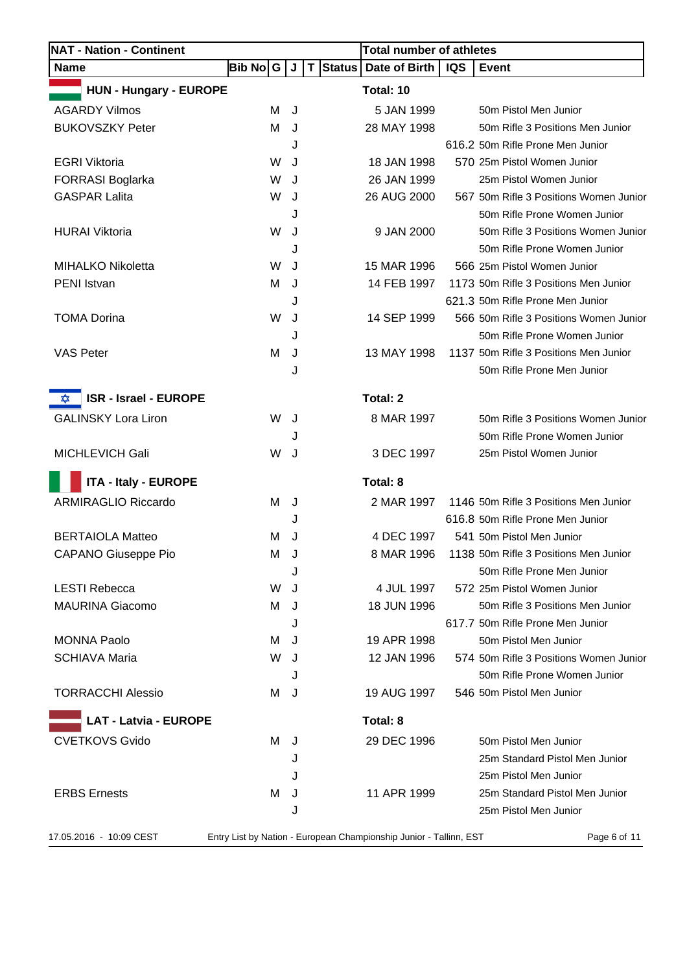| <b>NAT - Nation - Continent</b>   |           |   |          | <b>Total number of athletes</b>                                    |     |                                        |
|-----------------------------------|-----------|---|----------|--------------------------------------------------------------------|-----|----------------------------------------|
| <b>Name</b>                       | Bib No  G | J | T Status | Date of Birth                                                      | IQS | <b>Event</b>                           |
| <b>HUN - Hungary - EUROPE</b>     |           |   |          | Total: 10                                                          |     |                                        |
| <b>AGARDY Vilmos</b>              | м         | J |          | 5 JAN 1999                                                         |     | 50m Pistol Men Junior                  |
| <b>BUKOVSZKY Peter</b>            | M         | J |          | 28 MAY 1998                                                        |     | 50m Rifle 3 Positions Men Junior       |
|                                   |           | J |          |                                                                    |     | 616.2 50m Rifle Prone Men Junior       |
| <b>EGRI Viktoria</b>              | W         | J |          | 18 JAN 1998                                                        |     | 570 25m Pistol Women Junior            |
| <b>FORRASI Boglarka</b>           | W         | J |          | 26 JAN 1999                                                        |     | 25m Pistol Women Junior                |
| <b>GASPAR Lalita</b>              | W         | J |          | 26 AUG 2000                                                        |     | 567 50m Rifle 3 Positions Women Junior |
|                                   |           | J |          |                                                                    |     | 50m Rifle Prone Women Junior           |
| <b>HURAI Viktoria</b>             | W         | J |          | 9 JAN 2000                                                         |     | 50m Rifle 3 Positions Women Junior     |
|                                   |           | J |          |                                                                    |     | 50m Rifle Prone Women Junior           |
| <b>MIHALKO Nikoletta</b>          | W         | J |          | 15 MAR 1996                                                        |     | 566 25m Pistol Women Junior            |
| PENI Istvan                       | M         | J |          | 14 FEB 1997                                                        |     | 1173 50m Rifle 3 Positions Men Junior  |
|                                   |           | J |          |                                                                    |     | 621.3 50m Rifle Prone Men Junior       |
| <b>TOMA Dorina</b>                | W         | J |          | 14 SEP 1999                                                        |     | 566 50m Rifle 3 Positions Women Junior |
|                                   |           | J |          |                                                                    |     | 50m Rifle Prone Women Junior           |
| <b>VAS Peter</b>                  | M         | J |          | 13 MAY 1998                                                        |     | 1137 50m Rifle 3 Positions Men Junior  |
|                                   |           | J |          |                                                                    |     | 50m Rifle Prone Men Junior             |
| <b>ISR - Israel - EUROPE</b><br>✿ |           |   |          | Total: 2                                                           |     |                                        |
| <b>GALINSKY Lora Liron</b>        | W         | J |          | 8 MAR 1997                                                         |     | 50m Rifle 3 Positions Women Junior     |
|                                   |           | J |          |                                                                    |     | 50m Rifle Prone Women Junior           |
| MICHLEVICH Gali                   | W         | J |          | 3 DEC 1997                                                         |     | 25m Pistol Women Junior                |
| <b>ITA - Italy - EUROPE</b>       |           |   |          | Total: 8                                                           |     |                                        |
| <b>ARMIRAGLIO Riccardo</b>        | м         | J |          | 2 MAR 1997                                                         |     | 1146 50m Rifle 3 Positions Men Junior  |
|                                   |           | J |          |                                                                    |     | 616.8 50m Rifle Prone Men Junior       |
| <b>BERTAIOLA Matteo</b>           | м         | J |          | 4 DEC 1997                                                         |     | 541 50m Pistol Men Junior              |
| <b>CAPANO Giuseppe Pio</b>        | M         | J |          | 8 MAR 1996                                                         |     | 1138 50m Rifle 3 Positions Men Junior  |
|                                   |           | J |          |                                                                    |     | 50m Rifle Prone Men Junior             |
| <b>LESTI Rebecca</b>              | W         | J |          | 4 JUL 1997                                                         |     | 572 25m Pistol Women Junior            |
| <b>MAURINA Giacomo</b>            | м         | J |          | 18 JUN 1996                                                        |     | 50m Rifle 3 Positions Men Junior       |
|                                   |           | J |          |                                                                    |     | 617.7 50m Rifle Prone Men Junior       |
| <b>MONNA Paolo</b>                | м         | J |          | 19 APR 1998                                                        |     | 50m Pistol Men Junior                  |
| <b>SCHIAVA Maria</b>              | W         | J |          | 12 JAN 1996                                                        |     | 574 50m Rifle 3 Positions Women Junior |
|                                   |           | J |          |                                                                    |     | 50m Rifle Prone Women Junior           |
| <b>TORRACCHI Alessio</b>          | м         | J |          | 19 AUG 1997                                                        |     | 546 50m Pistol Men Junior              |
| <b>LAT - Latvia - EUROPE</b>      |           |   |          | Total: 8                                                           |     |                                        |
| <b>CVETKOVS Gvido</b>             | м         | J |          | 29 DEC 1996                                                        |     | 50m Pistol Men Junior                  |
|                                   |           | J |          |                                                                    |     | 25m Standard Pistol Men Junior         |
|                                   |           | J |          |                                                                    |     | 25m Pistol Men Junior                  |
| <b>ERBS Ernests</b>               | м         | J |          | 11 APR 1999                                                        |     | 25m Standard Pistol Men Junior         |
|                                   |           | J |          |                                                                    |     | 25m Pistol Men Junior                  |
| 17.05.2016 - 10:09 CEST           |           |   |          | Entry List by Nation - European Championship Junior - Tallinn, EST |     | Page 6 of 11                           |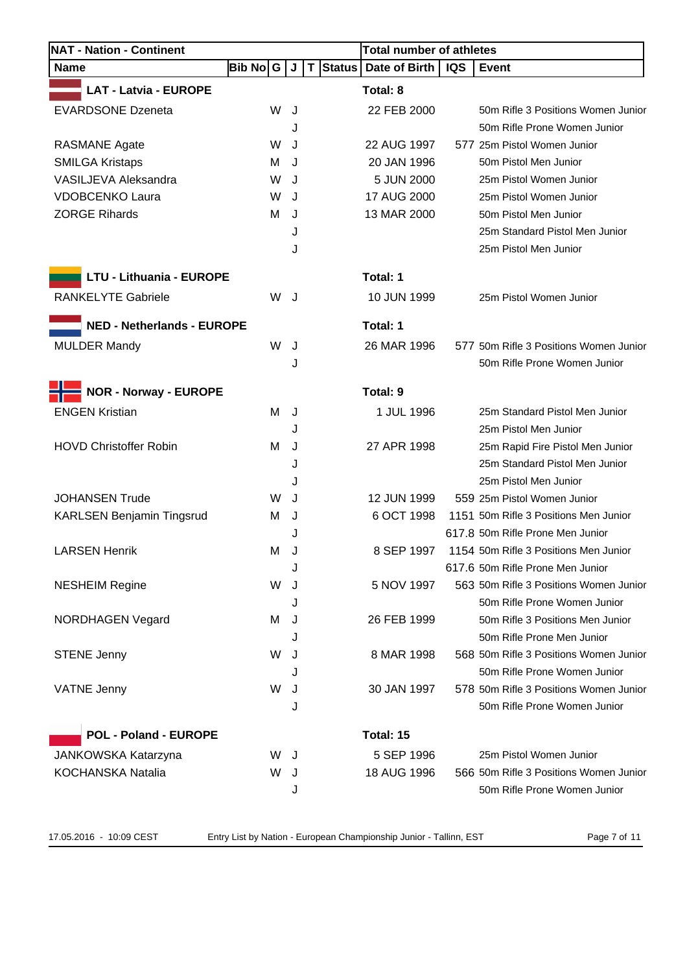| <b>NAT - Nation - Continent</b>   |          |        |          | <b>Total number of athletes</b> |            |                                        |
|-----------------------------------|----------|--------|----------|---------------------------------|------------|----------------------------------------|
| <b>Name</b>                       | Bib No G | J      | T Status | Date of Birth                   | <b>IQS</b> | <b>Event</b>                           |
| <b>LAT - Latvia - EUROPE</b>      |          |        |          | Total: 8                        |            |                                        |
| <b>EVARDSONE Dzeneta</b>          | W        | J      |          | 22 FEB 2000                     |            | 50m Rifle 3 Positions Women Junior     |
|                                   |          | J      |          |                                 |            | 50m Rifle Prone Women Junior           |
| <b>RASMANE Agate</b>              | W        | J      |          | 22 AUG 1997                     |            | 577 25m Pistol Women Junior            |
| <b>SMILGA Kristaps</b>            | м        | J      |          | 20 JAN 1996                     |            | 50m Pistol Men Junior                  |
| VASILJEVA Aleksandra              | W        | J      |          | 5 JUN 2000                      |            | 25m Pistol Women Junior                |
| <b>VDOBCENKO Laura</b>            | W        | J      |          | 17 AUG 2000                     |            | 25m Pistol Women Junior                |
| <b>ZORGE Rihards</b>              | м        | J      |          | 13 MAR 2000                     |            | 50m Pistol Men Junior                  |
|                                   |          | J      |          |                                 |            | 25m Standard Pistol Men Junior         |
|                                   |          | J      |          |                                 |            | 25m Pistol Men Junior                  |
| <b>LTU - Lithuania - EUROPE</b>   |          |        |          | Total: 1                        |            |                                        |
| <b>RANKELYTE Gabriele</b>         | W        | J      |          | 10 JUN 1999                     |            | 25m Pistol Women Junior                |
| <b>NED - Netherlands - EUROPE</b> |          |        |          | Total: 1                        |            |                                        |
| <b>MULDER Mandy</b>               | W        | J      |          | 26 MAR 1996                     |            | 577 50m Rifle 3 Positions Women Junior |
|                                   |          | J      |          |                                 |            | 50m Rifle Prone Women Junior           |
| <b>NOR - Norway - EUROPE</b>      |          |        |          | Total: 9                        |            |                                        |
| <b>ENGEN Kristian</b>             |          |        |          |                                 |            | 25m Standard Pistol Men Junior         |
|                                   | м        | J      |          | 1 JUL 1996                      |            | 25m Pistol Men Junior                  |
| <b>HOVD Christoffer Robin</b>     | м        | J<br>J |          | 27 APR 1998                     |            | 25m Rapid Fire Pistol Men Junior       |
|                                   |          | J      |          |                                 |            | 25m Standard Pistol Men Junior         |
|                                   |          | J      |          |                                 |            | 25m Pistol Men Junior                  |
| <b>JOHANSEN Trude</b>             | W        | J      |          | 12 JUN 1999                     |            | 559 25m Pistol Women Junior            |
| <b>KARLSEN Benjamin Tingsrud</b>  | м        | J      |          | 6 OCT 1998                      |            | 1151 50m Rifle 3 Positions Men Junior  |
|                                   |          |        |          |                                 |            | 617.8 50m Rifle Prone Men Junior       |
| <b>LARSEN Henrik</b>              | M        | J      |          | 8 SEP 1997                      |            | 1154 50m Rifle 3 Positions Men Junior  |
|                                   |          | J      |          |                                 |            | 617.6 50m Rifle Prone Men Junior       |
| <b>NESHEIM Regine</b>             | W        |        |          | 5 NOV 1997                      |            | 563 50m Rifle 3 Positions Women Junior |
|                                   |          | J      |          |                                 |            | 50m Rifle Prone Women Junior           |
| <b>NORDHAGEN Vegard</b>           | м        | J      |          | 26 FEB 1999                     |            | 50m Rifle 3 Positions Men Junior       |
|                                   |          |        |          |                                 |            | 50m Rifle Prone Men Junior             |
| <b>STENE Jenny</b>                | W        |        |          | 8 MAR 1998                      |            | 568 50m Rifle 3 Positions Women Junior |
|                                   |          |        |          |                                 |            | 50m Rifle Prone Women Junior           |
| <b>VATNE Jenny</b>                | W        | J      |          | 30 JAN 1997                     |            | 578 50m Rifle 3 Positions Women Junior |
|                                   |          | J      |          |                                 |            | 50m Rifle Prone Women Junior           |
| <b>POL - Poland - EUROPE</b>      |          |        |          | Total: 15                       |            |                                        |
| JANKOWSKA Katarzyna               | W        | J      |          | 5 SEP 1996                      |            | 25m Pistol Women Junior                |
| KOCHANSKA Natalia                 | W        | J      |          | 18 AUG 1996                     |            | 566 50m Rifle 3 Positions Women Junior |
|                                   |          | J      |          |                                 |            | 50m Rifle Prone Women Junior           |
|                                   |          |        |          |                                 |            |                                        |

17.05.2016 - 10:09 CEST Entry List by Nation - European Championship Junior - Tallinn, EST Page 7 of 11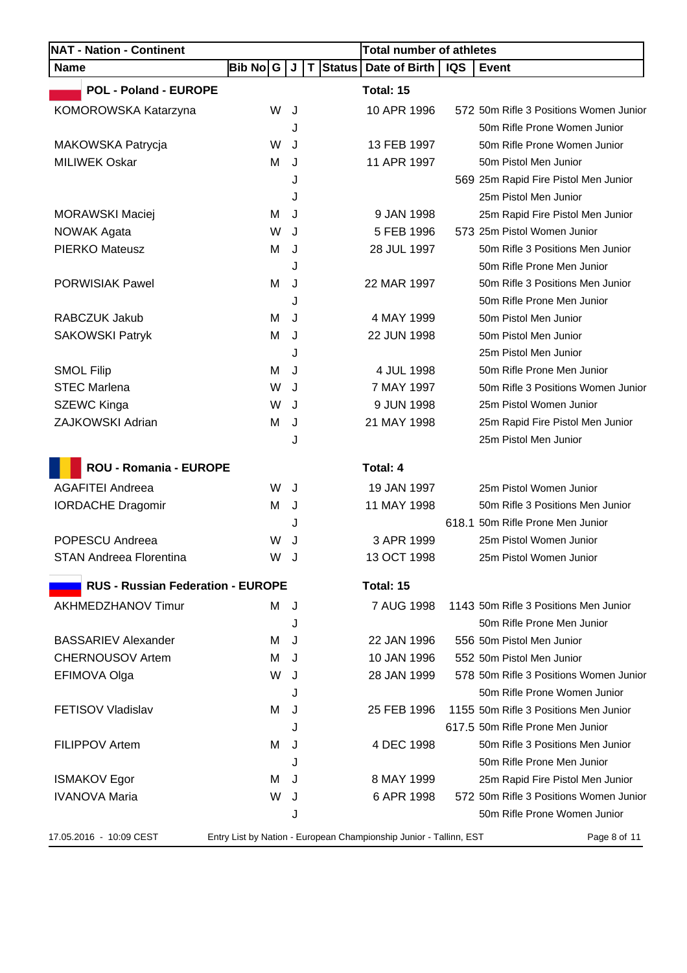| <b>NAT - Nation - Continent</b>          |           |   |          | <b>Total number of athletes</b>                                    |            |                                        |
|------------------------------------------|-----------|---|----------|--------------------------------------------------------------------|------------|----------------------------------------|
| <b>Name</b>                              | Bib No∣ G | J | T Status | Date of Birth                                                      | <b>IQS</b> | Event                                  |
| <b>POL - Poland - EUROPE</b>             |           |   |          | Total: 15                                                          |            |                                        |
| KOMOROWSKA Katarzyna                     | W         | J |          | 10 APR 1996                                                        |            | 572 50m Rifle 3 Positions Women Junior |
|                                          |           | J |          |                                                                    |            | 50m Rifle Prone Women Junior           |
| MAKOWSKA Patrycja                        | W         | J |          | 13 FEB 1997                                                        |            | 50m Rifle Prone Women Junior           |
| <b>MILIWEK Oskar</b>                     | M         | J |          | 11 APR 1997                                                        |            | 50m Pistol Men Junior                  |
|                                          |           | J |          |                                                                    |            | 569 25m Rapid Fire Pistol Men Junior   |
|                                          |           | J |          |                                                                    |            | 25m Pistol Men Junior                  |
| <b>MORAWSKI Maciej</b>                   | м         | J |          | 9 JAN 1998                                                         |            | 25m Rapid Fire Pistol Men Junior       |
| <b>NOWAK Agata</b>                       | W         | J |          | 5 FEB 1996                                                         |            | 573 25m Pistol Women Junior            |
| <b>PIERKO Mateusz</b>                    | M         | J |          | 28 JUL 1997                                                        |            | 50m Rifle 3 Positions Men Junior       |
|                                          |           | J |          |                                                                    |            | 50m Rifle Prone Men Junior             |
| <b>PORWISIAK Pawel</b>                   | M         | J |          | 22 MAR 1997                                                        |            | 50m Rifle 3 Positions Men Junior       |
|                                          |           | J |          |                                                                    |            | 50m Rifle Prone Men Junior             |
| RABCZUK Jakub                            | м         | J |          | 4 MAY 1999                                                         |            | 50m Pistol Men Junior                  |
| <b>SAKOWSKI Patryk</b>                   | M         | J |          | 22 JUN 1998                                                        |            | 50m Pistol Men Junior                  |
|                                          |           | J |          |                                                                    |            | 25m Pistol Men Junior                  |
| <b>SMOL Filip</b>                        | М         | J |          | 4 JUL 1998                                                         |            | 50m Rifle Prone Men Junior             |
| <b>STEC Marlena</b>                      | W         | J |          | 7 MAY 1997                                                         |            | 50m Rifle 3 Positions Women Junior     |
| SZEWC Kinga                              | W         | J |          | 9 JUN 1998                                                         |            | 25m Pistol Women Junior                |
| ZAJKOWSKI Adrian                         | M         | J |          | 21 MAY 1998                                                        |            | 25m Rapid Fire Pistol Men Junior       |
|                                          |           | J |          |                                                                    |            | 25m Pistol Men Junior                  |
| ROU - Romania - EUROPE                   |           |   |          | Total: 4                                                           |            |                                        |
| <b>AGAFITEI Andreea</b>                  | W         | J |          | 19 JAN 1997                                                        |            | 25m Pistol Women Junior                |
| <b>IORDACHE Dragomir</b>                 | M         | J |          | 11 MAY 1998                                                        |            | 50m Rifle 3 Positions Men Junior       |
|                                          |           | J |          |                                                                    |            | 618.1 50m Rifle Prone Men Junior       |
| POPESCU Andreea                          | W         | J |          | 3 APR 1999                                                         |            | 25m Pistol Women Junior                |
| STAN Andreea Florentina                  | W         | J |          | 13 OCT 1998                                                        |            | 25m Pistol Women Junior                |
|                                          |           |   |          |                                                                    |            |                                        |
| <b>RUS - Russian Federation - EUROPE</b> |           |   |          | Total: 15                                                          |            |                                        |
| AKHMEDZHANOV Timur                       | м         | J |          | 7 AUG 1998                                                         |            | 1143 50m Rifle 3 Positions Men Junior  |
|                                          |           | J |          |                                                                    |            | 50m Rifle Prone Men Junior             |
| <b>BASSARIEV Alexander</b>               | м         | J |          | 22 JAN 1996                                                        |            | 556 50m Pistol Men Junior              |
| <b>CHERNOUSOV Artem</b>                  | м         | J |          | 10 JAN 1996                                                        |            | 552 50m Pistol Men Junior              |
| EFIMOVA Olga                             | W         | J |          | 28 JAN 1999                                                        |            | 578 50m Rifle 3 Positions Women Junior |
|                                          |           | J |          |                                                                    |            | 50m Rifle Prone Women Junior           |
| FETISOV Vladislav                        | м         | J |          | 25 FEB 1996                                                        |            | 1155 50m Rifle 3 Positions Men Junior  |
|                                          |           | J |          |                                                                    |            | 617.5 50m Rifle Prone Men Junior       |
| FILIPPOV Artem                           | M         | J |          | 4 DEC 1998                                                         |            | 50m Rifle 3 Positions Men Junior       |
|                                          |           | J |          |                                                                    |            | 50m Rifle Prone Men Junior             |
| <b>ISMAKOV Egor</b>                      | м         | J |          | 8 MAY 1999                                                         |            | 25m Rapid Fire Pistol Men Junior       |
| <b>IVANOVA Maria</b>                     | W         | J |          | 6 APR 1998                                                         |            | 572 50m Rifle 3 Positions Women Junior |
|                                          |           | J |          |                                                                    |            | 50m Rifle Prone Women Junior           |
| 17.05.2016 - 10:09 CEST                  |           |   |          | Entry List by Nation - European Championship Junior - Tallinn, EST |            | Page 8 of 11                           |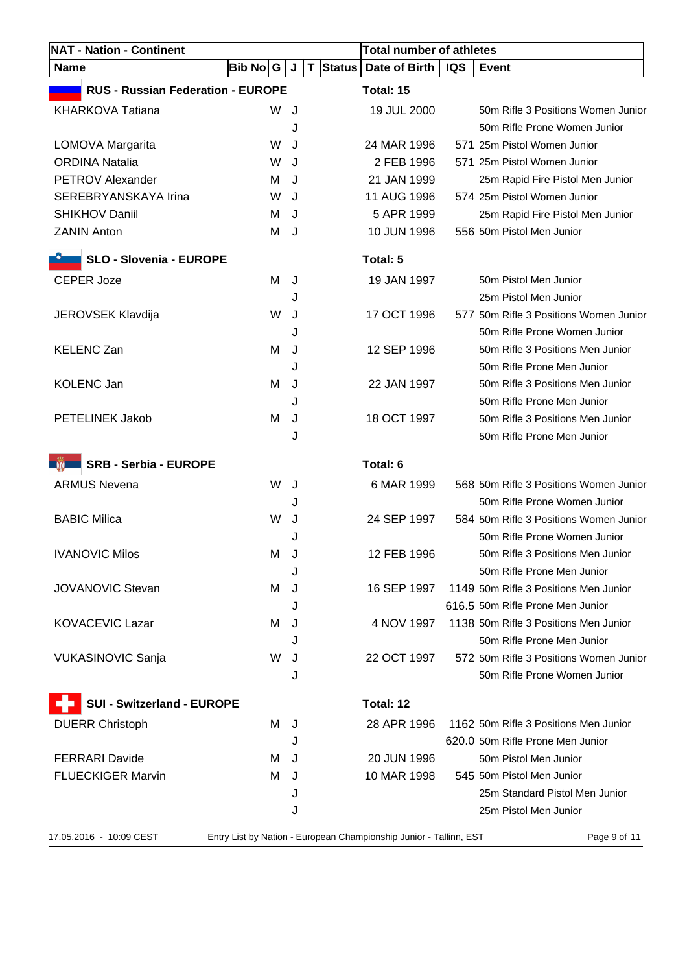| <b>NAT - Nation - Continent</b>          |          |     | <b>Total number of athletes</b>                                    |            |                                        |
|------------------------------------------|----------|-----|--------------------------------------------------------------------|------------|----------------------------------------|
| <b>Name</b>                              | Bib No│G | J   | T Status   Date of Birth                                           | <b>IQS</b> | <b>Event</b>                           |
| <b>RUS - Russian Federation - EUROPE</b> |          |     | Total: 15                                                          |            |                                        |
| <b>KHARKOVA Tatiana</b>                  | W        | J   | 19 JUL 2000                                                        |            | 50m Rifle 3 Positions Women Junior     |
|                                          |          | J   |                                                                    |            | 50m Rifle Prone Women Junior           |
| LOMOVA Margarita                         | W        | J   | 24 MAR 1996                                                        |            | 571 25m Pistol Women Junior            |
| <b>ORDINA Natalia</b>                    | W        | J   | 2 FEB 1996                                                         |            | 571 25m Pistol Women Junior            |
| <b>PETROV Alexander</b>                  | м        | J   | 21 JAN 1999                                                        |            | 25m Rapid Fire Pistol Men Junior       |
| SEREBRYANSKAYA Irina                     | W        | J   | 11 AUG 1996                                                        |            | 574 25m Pistol Women Junior            |
| <b>SHIKHOV Daniil</b>                    | м        | J   | 5 APR 1999                                                         |            | 25m Rapid Fire Pistol Men Junior       |
| <b>ZANIN Anton</b>                       | м        | J   | 10 JUN 1996                                                        |            | 556 50m Pistol Men Junior              |
| <b>SLO - Slovenia - EUROPE</b>           |          |     | Total: 5                                                           |            |                                        |
| <b>CEPER Joze</b>                        | м        | J   | 19 JAN 1997                                                        |            | 50m Pistol Men Junior                  |
|                                          |          | J   |                                                                    |            | 25m Pistol Men Junior                  |
| <b>JEROVSEK Klavdija</b>                 | W        | J   | 17 OCT 1996                                                        |            | 577 50m Rifle 3 Positions Women Junior |
|                                          |          | J   |                                                                    |            | 50m Rifle Prone Women Junior           |
| <b>KELENC Zan</b>                        | м        | J   | 12 SEP 1996                                                        |            | 50m Rifle 3 Positions Men Junior       |
|                                          |          | J   |                                                                    |            | 50m Rifle Prone Men Junior             |
| <b>KOLENC Jan</b>                        | м        | J   | 22 JAN 1997                                                        |            | 50m Rifle 3 Positions Men Junior       |
|                                          |          | J   |                                                                    |            | 50m Rifle Prone Men Junior             |
| <b>PETELINEK Jakob</b>                   | м        | J   | 18 OCT 1997                                                        |            | 50m Rifle 3 Positions Men Junior       |
|                                          |          | J   |                                                                    |            | 50m Rifle Prone Men Junior             |
| SRB - Serbia - EUROPE<br><b>THE REAL</b> |          |     | Total: 6                                                           |            |                                        |
| <b>ARMUS Nevena</b>                      | W        | J   | 6 MAR 1999                                                         |            | 568 50m Rifle 3 Positions Women Junior |
|                                          |          | J   |                                                                    |            | 50m Rifle Prone Women Junior           |
| <b>BABIC Milica</b>                      | W        | J   | 24 SEP 1997                                                        |            | 584 50m Rifle 3 Positions Women Junior |
|                                          |          | . I |                                                                    |            | 50m Rifle Prone Women Junior           |
| <b>IVANOVIC Milos</b>                    | М        | J   | 12 FEB 1996                                                        |            | 50m Rifle 3 Positions Men Junior       |
|                                          |          | J   |                                                                    |            | 50m Rifle Prone Men Junior             |
| <b>JOVANOVIC Stevan</b>                  | м        | J   | 16 SEP 1997                                                        |            | 1149 50m Rifle 3 Positions Men Junior  |
|                                          |          | J   |                                                                    |            | 616.5 50m Rifle Prone Men Junior       |
| <b>KOVACEVIC Lazar</b>                   | м        | J   | 4 NOV 1997                                                         |            | 1138 50m Rifle 3 Positions Men Junior  |
|                                          |          | J   |                                                                    |            | 50m Rifle Prone Men Junior             |
| <b>VUKASINOVIC Sanja</b>                 | W        | J   | 22 OCT 1997                                                        |            | 572 50m Rifle 3 Positions Women Junior |
|                                          |          | J   |                                                                    |            | 50m Rifle Prone Women Junior           |
| <b>SUI - Switzerland - EUROPE</b>        |          |     | Total: 12                                                          |            |                                        |
| <b>DUERR Christoph</b>                   | м        | J   | 28 APR 1996                                                        |            | 1162 50m Rifle 3 Positions Men Junior  |
|                                          |          | J   |                                                                    |            | 620.0 50m Rifle Prone Men Junior       |
| <b>FERRARI Davide</b>                    | M        | J   | 20 JUN 1996                                                        |            | 50m Pistol Men Junior                  |
| <b>FLUECKIGER Marvin</b>                 | м        | J   | 10 MAR 1998                                                        |            | 545 50m Pistol Men Junior              |
|                                          |          | J   |                                                                    |            | 25m Standard Pistol Men Junior         |
|                                          |          | J   |                                                                    |            | 25m Pistol Men Junior                  |
| 17.05.2016 - 10:09 CEST                  |          |     | Entry List by Nation - European Championship Junior - Tallinn, EST |            | Page 9 of 11                           |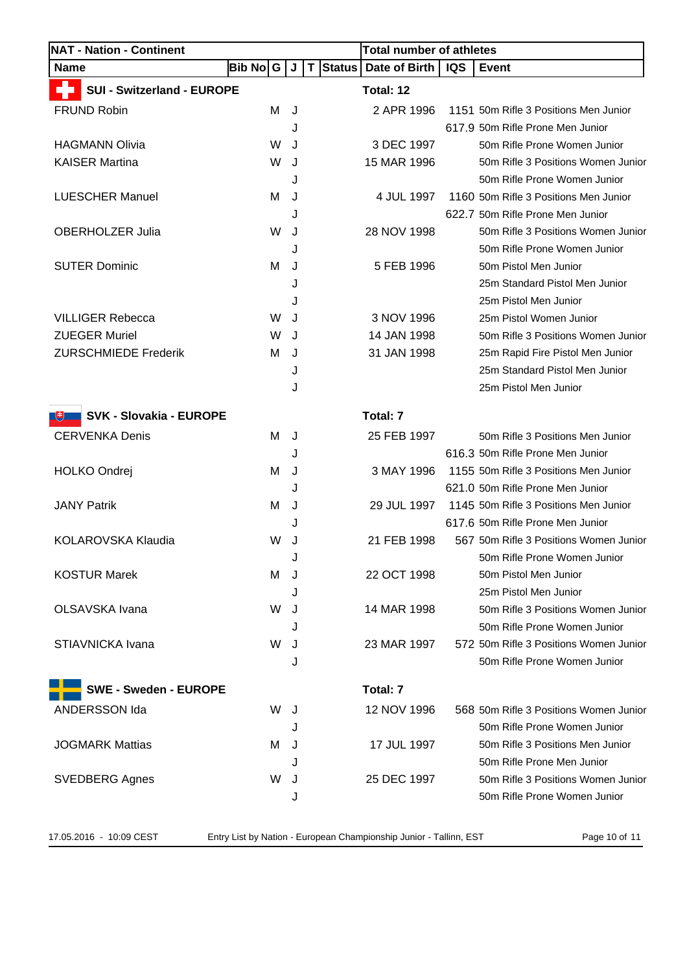| <b>NAT - Nation - Continent</b>     |             |   |             | <b>Total number of athletes</b> |            |                                        |
|-------------------------------------|-------------|---|-------------|---------------------------------|------------|----------------------------------------|
| <b>Name</b>                         | Bib No<br>G | J | Status<br>T | Date of Birth                   | <b>IQS</b> | <b>Event</b>                           |
| <b>SUI - Switzerland - EUROPE</b>   |             |   |             | Total: 12                       |            |                                        |
| <b>FRUND Robin</b>                  | м           | J |             | 2 APR 1996                      |            | 1151 50m Rifle 3 Positions Men Junior  |
|                                     |             | J |             |                                 |            | 617.9 50m Rifle Prone Men Junior       |
| <b>HAGMANN Olivia</b>               | W           | J |             | 3 DEC 1997                      |            | 50m Rifle Prone Women Junior           |
| <b>KAISER Martina</b>               | W           | J |             | 15 MAR 1996                     |            | 50m Rifle 3 Positions Women Junior     |
|                                     |             | J |             |                                 |            | 50m Rifle Prone Women Junior           |
| <b>LUESCHER Manuel</b>              | M           | J |             | 4 JUL 1997                      |            | 1160 50m Rifle 3 Positions Men Junior  |
|                                     |             | J |             |                                 |            | 622.7 50m Rifle Prone Men Junior       |
| <b>OBERHOLZER Julia</b>             | W           | J |             | 28 NOV 1998                     |            | 50m Rifle 3 Positions Women Junior     |
|                                     |             | J |             |                                 |            | 50m Rifle Prone Women Junior           |
| <b>SUTER Dominic</b>                | м           | J |             | 5 FEB 1996                      |            | 50m Pistol Men Junior                  |
|                                     |             | J |             |                                 |            | 25m Standard Pistol Men Junior         |
|                                     |             | J |             |                                 |            | 25m Pistol Men Junior                  |
| <b>VILLIGER Rebecca</b>             | W           | J |             | 3 NOV 1996                      |            | 25m Pistol Women Junior                |
| <b>ZUEGER Muriel</b>                | W           | J |             | 14 JAN 1998                     |            | 50m Rifle 3 Positions Women Junior     |
| <b>ZURSCHMIEDE Frederik</b>         | м           | J |             | 31 JAN 1998                     |            | 25m Rapid Fire Pistol Men Junior       |
|                                     |             | J |             |                                 |            | 25m Standard Pistol Men Junior         |
|                                     |             | J |             |                                 |            | 25m Pistol Men Junior                  |
| <b>SVK - Slovakia - EUROPE</b><br>飞 |             |   |             | Total: 7                        |            |                                        |
| <b>CERVENKA Denis</b>               | м           | J |             | 25 FEB 1997                     |            | 50m Rifle 3 Positions Men Junior       |
|                                     |             | J |             |                                 |            | 616.3 50m Rifle Prone Men Junior       |
| <b>HOLKO Ondrej</b>                 | м           | J |             | 3 MAY 1996                      |            | 1155 50m Rifle 3 Positions Men Junior  |
|                                     |             | J |             |                                 |            | 621.0 50m Rifle Prone Men Junior       |
| <b>JANY Patrik</b>                  | м           | J |             | 29 JUL 1997                     |            | 1145 50m Rifle 3 Positions Men Junior  |
|                                     |             | J |             |                                 |            | 617.6 50m Rifle Prone Men Junior       |
| KOLAROVSKA Klaudia                  | W           | J |             | 21 FEB 1998                     |            | 567 50m Rifle 3 Positions Women Junior |
|                                     |             |   |             |                                 |            | 50m Rifle Prone Women Junior           |
| <b>KOSTUR Marek</b>                 | M           | J |             | 22 OCT 1998                     |            | 50m Pistol Men Junior                  |
|                                     |             | J |             |                                 |            | 25m Pistol Men Junior                  |
| OLSAVSKA Ivana                      | W           | J |             | 14 MAR 1998                     |            | 50m Rifle 3 Positions Women Junior     |
|                                     |             | J |             |                                 |            | 50m Rifle Prone Women Junior           |
| STIAVNICKA Ivana                    | W           | J |             | 23 MAR 1997                     |            | 572 50m Rifle 3 Positions Women Junior |
|                                     |             | J |             |                                 |            | 50m Rifle Prone Women Junior           |
| <b>SWE - Sweden - EUROPE</b>        |             |   |             | Total: 7                        |            |                                        |
| ANDERSSON Ida                       | W           | J |             | 12 NOV 1996                     |            | 568 50m Rifle 3 Positions Women Junior |
|                                     |             | J |             |                                 |            | 50m Rifle Prone Women Junior           |
| <b>JOGMARK Mattias</b>              | м           | J |             | 17 JUL 1997                     |            | 50m Rifle 3 Positions Men Junior       |
|                                     |             |   |             |                                 |            | 50m Rifle Prone Men Junior             |
|                                     | W           |   |             | 25 DEC 1997                     |            | 50m Rifle 3 Positions Women Junior     |
| <b>SVEDBERG Agnes</b>               |             | J |             |                                 |            |                                        |
|                                     |             | J |             |                                 |            | 50m Rifle Prone Women Junior           |

17.05.2016 - 10:09 CEST Entry List by Nation - European Championship Junior - Tallinn, EST Page 10 of 11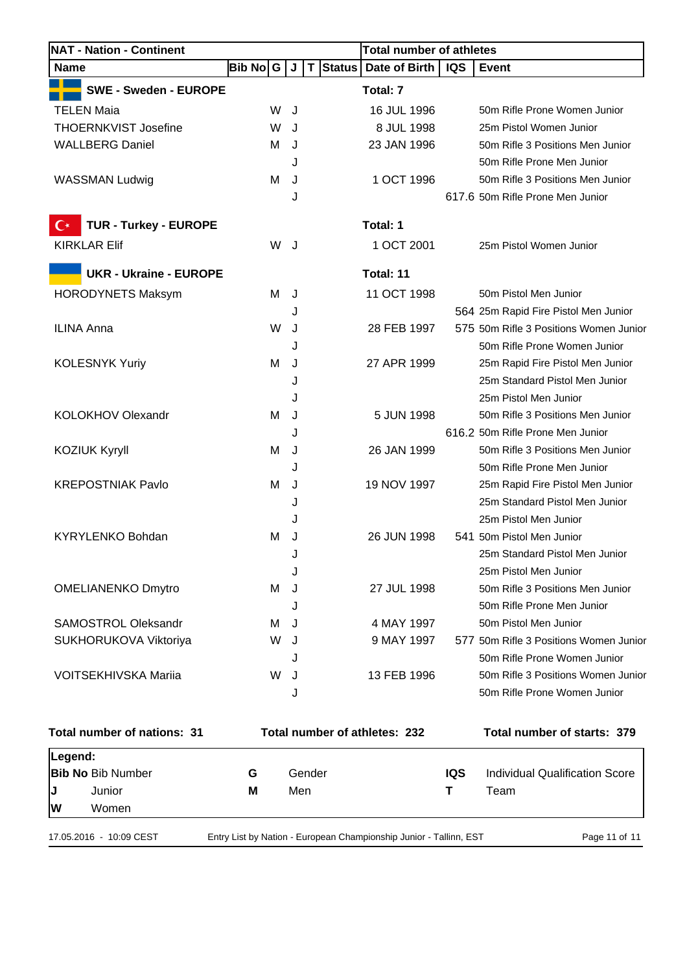| <b>NAT - Nation - Continent</b>                   |          |     |        | <b>Total number of athletes</b>                                    |            |                                        |
|---------------------------------------------------|----------|-----|--------|--------------------------------------------------------------------|------------|----------------------------------------|
| <b>Name</b>                                       | Bib No G |     | J      | T Status<br>Date of Birth                                          | <b>IQS</b> | <b>Event</b>                           |
| <b>SWE - Sweden - EUROPE</b>                      |          |     |        | Total: 7                                                           |            |                                        |
| TELEN Maia                                        |          | W   | J      | 16 JUL 1996                                                        |            | 50m Rifle Prone Women Junior           |
| <b>THOERNKVIST Josefine</b>                       |          | W   | J      | 8 JUL 1998                                                         |            | 25m Pistol Women Junior                |
| <b>WALLBERG Daniel</b>                            |          | м   | J      | 23 JAN 1996                                                        |            | 50m Rifle 3 Positions Men Junior       |
|                                                   |          |     | J      |                                                                    |            | 50m Rifle Prone Men Junior             |
| <b>WASSMAN Ludwig</b>                             |          | M   | J      | 1 OCT 1996                                                         |            | 50m Rifle 3 Positions Men Junior       |
|                                                   |          |     | J      |                                                                    |            | 617.6 50m Rifle Prone Men Junior       |
| <b>TUR - Turkey - EUROPE</b><br>$\mathbf C^\star$ |          |     |        | Total: 1                                                           |            |                                        |
| <b>KIRKLAR Elif</b>                               |          | W J |        | 1 OCT 2001                                                         |            | 25m Pistol Women Junior                |
| <b>UKR - Ukraine - EUROPE</b>                     |          |     |        | Total: 11                                                          |            |                                        |
| <b>HORODYNETS Maksym</b>                          |          | м   | J      | 11 OCT 1998                                                        |            | 50m Pistol Men Junior                  |
|                                                   |          |     | J      |                                                                    |            | 564 25m Rapid Fire Pistol Men Junior   |
| <b>ILINA Anna</b>                                 |          | W   | J      | 28 FEB 1997                                                        |            | 575 50m Rifle 3 Positions Women Junior |
|                                                   |          |     | J      |                                                                    |            | 50m Rifle Prone Women Junior           |
| <b>KOLESNYK Yuriy</b>                             |          | М   | J      | 27 APR 1999                                                        |            | 25m Rapid Fire Pistol Men Junior       |
|                                                   |          |     | J      |                                                                    |            | 25m Standard Pistol Men Junior         |
|                                                   |          |     | J      |                                                                    |            | 25m Pistol Men Junior                  |
| <b>KOLOKHOV Olexandr</b>                          |          | M   | J      | 5 JUN 1998                                                         |            | 50m Rifle 3 Positions Men Junior       |
|                                                   |          |     | J      |                                                                    |            | 616.2 50m Rifle Prone Men Junior       |
| <b>KOZIUK Kyryll</b>                              |          | м   | J      | 26 JAN 1999                                                        |            | 50m Rifle 3 Positions Men Junior       |
|                                                   |          |     | J      |                                                                    |            | 50m Rifle Prone Men Junior             |
| <b>KREPOSTNIAK Pavlo</b>                          |          | M   | J      | 19 NOV 1997                                                        |            | 25m Rapid Fire Pistol Men Junior       |
|                                                   |          |     | J      |                                                                    |            | 25m Standard Pistol Men Junior         |
|                                                   |          |     | J      |                                                                    |            | 25m Pistol Men Junior                  |
| <b>KYRYLENKO Bohdan</b>                           |          | M   | J      | 26 JUN 1998                                                        |            | 541 50m Pistol Men Junior              |
|                                                   |          |     | J      |                                                                    |            | 25m Standard Pistol Men Junior         |
|                                                   |          |     | J      |                                                                    |            | 25m Pistol Men Junior                  |
| <b>OMELIANENKO Dmytro</b>                         |          | M   | J      | 27 JUL 1998                                                        |            | 50m Rifle 3 Positions Men Junior       |
|                                                   |          |     | J      |                                                                    |            | 50m Rifle Prone Men Junior             |
| <b>SAMOSTROL Oleksandr</b>                        |          | м   | J      | 4 MAY 1997                                                         |            | 50m Pistol Men Junior                  |
| SUKHORUKOVA Viktoriya                             |          | W   | J      | 9 MAY 1997                                                         |            | 577 50m Rifle 3 Positions Women Junior |
|                                                   |          |     | J      |                                                                    |            | 50m Rifle Prone Women Junior           |
| <b>VOITSEKHIVSKA Mariia</b>                       |          | W   | J      | 13 FEB 1996                                                        |            | 50m Rifle 3 Positions Women Junior     |
|                                                   |          |     | J      |                                                                    |            | 50m Rifle Prone Women Junior           |
| Total number of nations: 31                       |          |     |        | Total number of athletes: 232                                      |            | Total number of starts: 379            |
| Legend:                                           |          |     |        |                                                                    |            |                                        |
| <b>Bib No Bib Number</b>                          | G        |     | Gender |                                                                    | <b>IQS</b> | <b>Individual Qualification Score</b>  |
| J<br>Junior                                       | M        |     | Men    |                                                                    | Τ          | Team                                   |
| W<br>Women                                        |          |     |        |                                                                    |            |                                        |
| 17.05.2016 - 10:09 CEST                           |          |     |        | Entry List by Nation - European Championship Junior - Tallinn, EST |            | Page 11 of 11                          |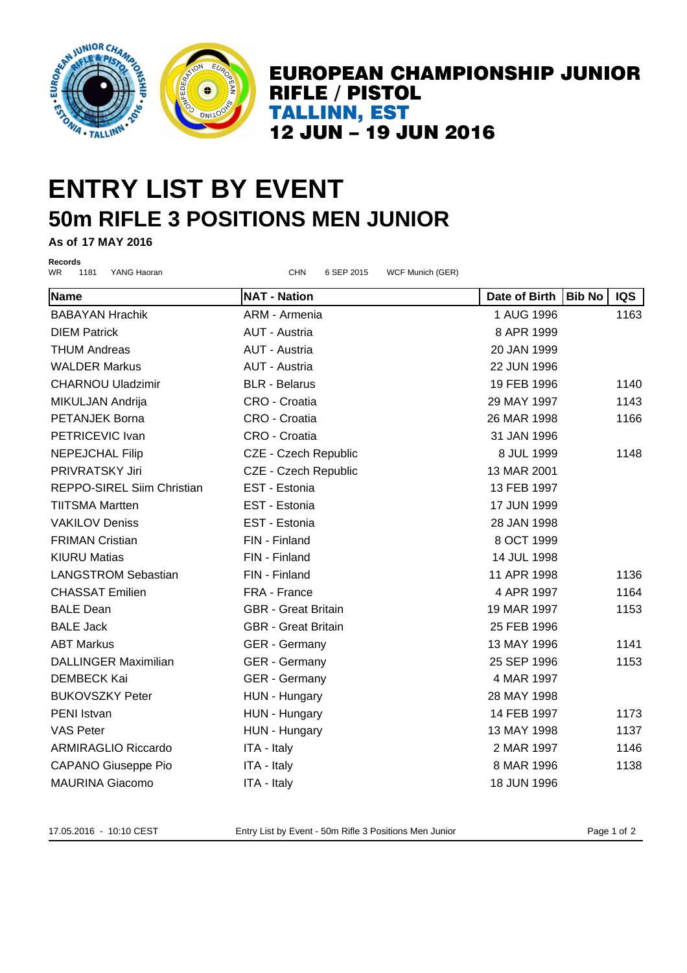

## **ENTRY LIST BY EVENT 50m RIFLE 3 POSITIONS MEN JUNIOR**

**As of 17 MAY 2016**

**Records**

WR 1181 YANG Haoran CHN CHN 6 SEP 2015 WCF Munich (GER) **Name NAT - Nation Date of Birth Bib No IQS** BABAYAN Hrachik **ARM - Armenia** 1 AUG 1996 1163 DIEM Patrick AUT - Austria 8 APR 1999 THUM Andreas **AUT - Austria 20 JAN 1999** WALDER Markus AUT - Austria 22 JUN 1996 CHARNOU Uladzimir BLR - Belarus 19 FEB 1996 1140 MIKULJAN Andrija CRO - Croatia 29 MAY 1997 1143 PETANJEK Borna CRO - Croatia 26 MAR 1998 1166 PETRICEVIC Ivan CRO - Croatia 31 JAN 1996 NEPEJCHAL Filip **CZE - Czech Republic CZE - Canadia CZE - Czech Republic** 8 JUL 1999 1148 PRIVRATSKY Jiri CZE - Czech Republic 13 MAR 2001 REPPO-SIREL Siim Christian EST - Estonia 13 FEB 1997 TIITSMA Martten EST - Estonia 17 JUN 1999 VAKILOV Deniss EST - Estonia 28 JAN 1998 FRIMAN Cristian FIN - Finland 8 OCT 1999 KIURU Matias FIN - Finland 14 JUL 1998 LANGSTROM Sebastian FIN - Finland 11 APR 1998 1136 CHASSAT Emilien FRA - France 4 APR 1997 1164 BALE Dean **GBR - Great Britain** 19 MAR 1997 1153 BALE Jack GBR - Great Britain 25 FEB 1996 ABT Markus **ABT Markus GER - Germany 13 MAY 1996** 1141 DALLINGER Maximilian and GER - Germany 1996 1153 DEMBECK Kai **GER - Germany 1997** 4 MAR 1997 BUKOVSZKY Peter HUN - Hungary 28 MAY 1998 PENI Istvan 1173 VAS Peter **1137 HUN - Hungary 113 MAY 1998** 1137 ARMIRAGLIO Riccardo ITA - Italy 2 MAR 1997 1146 CAPANO Giuseppe Pio **ITA - Italy 1138** 8 MAR 1996 1138

17.05.2016 - 10:10 CEST Entry List by Event - 50m Rifle 3 Positions Men Junior Page 1 of 2

MAURINA Giacomo ITA - Italy 18 JUN 1996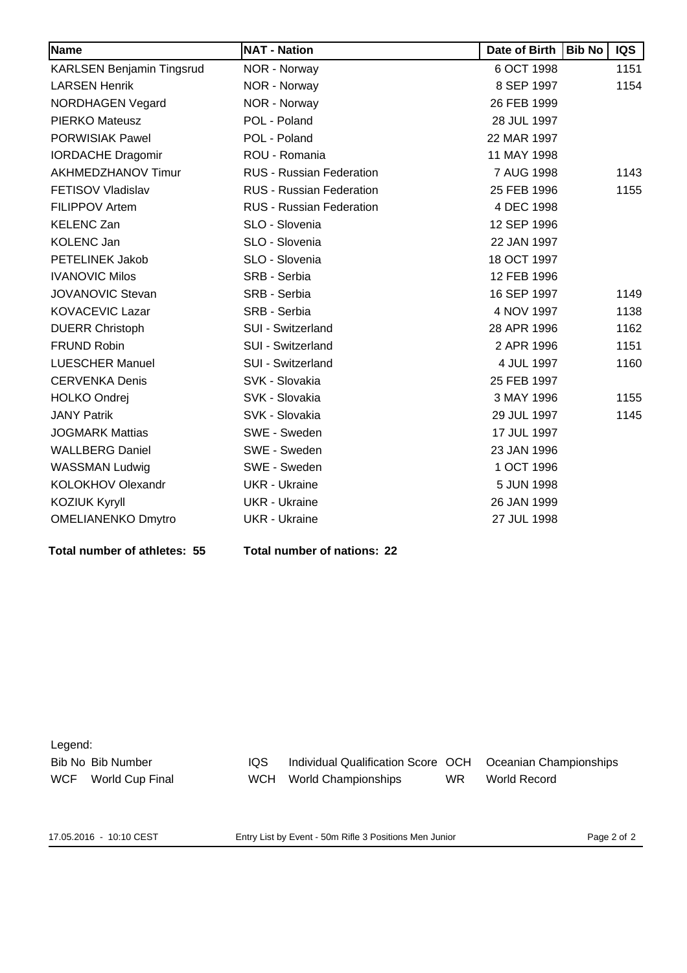| Name                      | <b>NAT - Nation</b>             | Date of Birth | <b>Bib No</b> | <b>IQS</b> |
|---------------------------|---------------------------------|---------------|---------------|------------|
| KARLSEN Benjamin Tingsrud | NOR - Norway                    | 6 OCT 1998    |               | 1151       |
| <b>LARSEN Henrik</b>      | NOR - Norway                    | 8 SEP 1997    |               | 1154       |
| <b>NORDHAGEN Vegard</b>   | NOR - Norway                    | 26 FEB 1999   |               |            |
| <b>PIERKO Mateusz</b>     | POL - Poland                    | 28 JUL 1997   |               |            |
| <b>PORWISIAK Pawel</b>    | POL - Poland                    | 22 MAR 1997   |               |            |
| <b>IORDACHE Dragomir</b>  | ROU - Romania                   | 11 MAY 1998   |               |            |
| AKHMEDZHANOV Timur        | RUS - Russian Federation        | 7 AUG 1998    |               | 1143       |
| FETISOV Vladislav         | RUS - Russian Federation        | 25 FEB 1996   |               | 1155       |
| <b>FILIPPOV Artem</b>     | <b>RUS - Russian Federation</b> | 4 DEC 1998    |               |            |
| <b>KELENC Zan</b>         | SLO - Slovenia                  | 12 SEP 1996   |               |            |
| <b>KOLENC Jan</b>         | SLO - Slovenia                  | 22 JAN 1997   |               |            |
| <b>PETELINEK Jakob</b>    | SLO - Slovenia                  | 18 OCT 1997   |               |            |
| <b>IVANOVIC Milos</b>     | SRB - Serbia                    | 12 FEB 1996   |               |            |
| <b>JOVANOVIC Stevan</b>   | SRB - Serbia                    | 16 SEP 1997   |               | 1149       |
| <b>KOVACEVIC Lazar</b>    | SRB - Serbia                    | 4 NOV 1997    |               | 1138       |
| <b>DUERR Christoph</b>    | SUI - Switzerland               | 28 APR 1996   |               | 1162       |
| <b>FRUND Robin</b>        | SUI - Switzerland               | 2 APR 1996    |               | 1151       |
| <b>LUESCHER Manuel</b>    | SUI - Switzerland               | 4 JUL 1997    |               | 1160       |
| <b>CERVENKA Denis</b>     | SVK - Slovakia                  | 25 FEB 1997   |               |            |
| <b>HOLKO Ondrej</b>       | SVK - Slovakia                  | 3 MAY 1996    |               | 1155       |
| <b>JANY Patrik</b>        | SVK - Slovakia                  | 29 JUL 1997   |               | 1145       |
| <b>JOGMARK Mattias</b>    | SWE - Sweden                    | 17 JUL 1997   |               |            |
| <b>WALLBERG Daniel</b>    | SWE - Sweden                    | 23 JAN 1996   |               |            |
| <b>WASSMAN Ludwig</b>     | SWE - Sweden                    | 1 OCT 1996    |               |            |
| KOLOKHOV Olexandr         | <b>UKR</b> - Ukraine            | 5 JUN 1998    |               |            |
| <b>KOZIUK Kyryll</b>      | <b>UKR</b> - Ukraine            | 26 JAN 1999   |               |            |
| <b>OMELIANENKO Dmytro</b> | <b>UKR - Ukraine</b>            | 27 JUL 1998   |               |            |

**Total number of athletes: 55 Total number of nations: 22**

Legend:

Bib No Bib Number IQS Individual Qualification Score OCH Oceanian Championships WCF World Cup Final WCH World Championships WR World Record

17.05.2016 - 10:10 CEST Entry List by Event - 50m Rifle 3 Positions Men Junior Page 2 of 2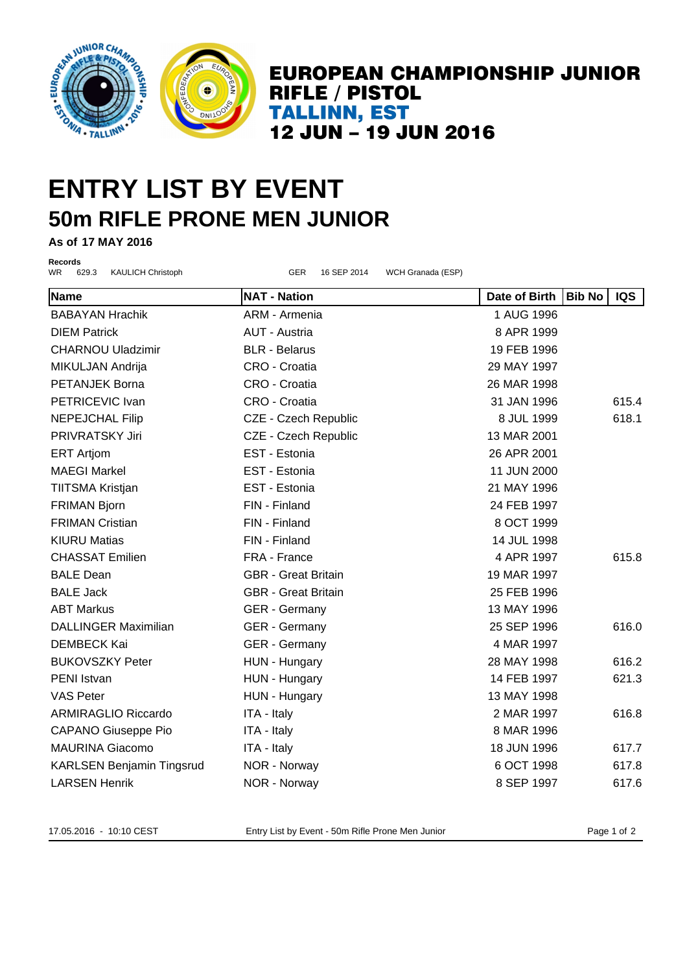

### **ENTRY LIST BY EVENT 50m RIFLE PRONE MEN JUNIOR**

**As of 17 MAY 2016**

**Records**

WR 629.3 KAULICH Christoph GER 16 SEP 2014 WCH Granada (ESP)

| Name                                   | <b>NAT - Nation</b>        | Date of Birth | <b>Bib No</b> | <b>IQS</b> |
|----------------------------------------|----------------------------|---------------|---------------|------------|
| <b>BABAYAN Hrachik</b>                 | ARM - Armenia              | 1 AUG 1996    |               |            |
| <b>DIEM Patrick</b>                    | <b>AUT - Austria</b>       | 8 APR 1999    |               |            |
| <b>CHARNOU Uladzimir</b>               | <b>BLR</b> - Belarus       | 19 FEB 1996   |               |            |
| MIKULJAN Andrija                       | CRO - Croatia              |               | 29 MAY 1997   |            |
| CRO - Croatia<br><b>PETANJEK Borna</b> |                            | 26 MAR 1998   |               |            |
| PETRICEVIC Ivan                        | CRO - Croatia              | 31 JAN 1996   |               | 615.4      |
| <b>NEPEJCHAL Filip</b>                 | CZE - Czech Republic       | 8 JUL 1999    |               | 618.1      |
| PRIVRATSKY Jiri                        | CZE - Czech Republic       | 13 MAR 2001   |               |            |
| <b>ERT Artjom</b>                      | EST - Estonia              | 26 APR 2001   |               |            |
| <b>MAEGI Markel</b>                    | EST - Estonia              | 11 JUN 2000   |               |            |
| TIITSMA Kristjan                       | EST - Estonia              | 21 MAY 1996   |               |            |
| <b>FRIMAN Bjorn</b>                    | FIN - Finland              | 24 FEB 1997   |               |            |
| <b>FRIMAN Cristian</b>                 | FIN - Finland              | 8 OCT 1999    |               |            |
| <b>KIURU Matias</b>                    | FIN - Finland              | 14 JUL 1998   |               |            |
| <b>CHASSAT Emilien</b>                 | FRA - France               | 4 APR 1997    |               | 615.8      |
| <b>BALE Dean</b>                       | <b>GBR</b> - Great Britain | 19 MAR 1997   |               |            |
| <b>BALE Jack</b>                       | <b>GBR</b> - Great Britain | 25 FEB 1996   |               |            |
| <b>ABT Markus</b>                      | <b>GER</b> - Germany       | 13 MAY 1996   |               |            |
| <b>DALLINGER Maximilian</b>            | <b>GER</b> - Germany       | 25 SEP 1996   |               | 616.0      |
| <b>DEMBECK Kai</b>                     | <b>GER</b> - Germany       | 4 MAR 1997    |               |            |
| <b>BUKOVSZKY Peter</b>                 | HUN - Hungary              | 28 MAY 1998   |               | 616.2      |
| PENI Istvan                            | HUN - Hungary              | 14 FEB 1997   |               | 621.3      |
| VAS Peter                              | HUN - Hungary              | 13 MAY 1998   |               |            |
| <b>ARMIRAGLIO Riccardo</b>             | ITA - Italy                | 2 MAR 1997    |               | 616.8      |
| <b>CAPANO Giuseppe Pio</b>             | ITA - Italy                | 8 MAR 1996    |               |            |
| <b>MAURINA Giacomo</b>                 | ITA - Italy                | 18 JUN 1996   |               | 617.7      |
| <b>KARLSEN Benjamin Tingsrud</b>       | NOR - Norway               | 6 OCT 1998    |               | 617.8      |
| <b>LARSEN Henrik</b>                   | NOR - Norway               | 8 SEP 1997    |               | 617.6      |

17.05.2016 - 10:10 CEST Entry List by Event - 50m Rifle Prone Men Junior Page 1 of 2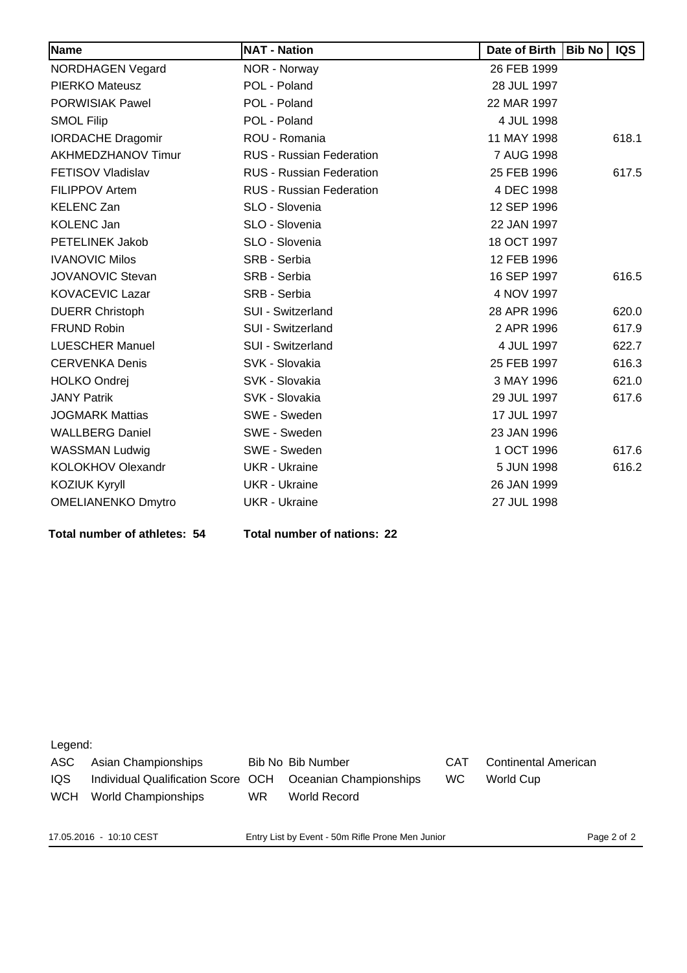| Name                      | <b>NAT - Nation</b>             | Date of Birth | <b>Bib No</b> | <b>IQS</b> |
|---------------------------|---------------------------------|---------------|---------------|------------|
| <b>NORDHAGEN Vegard</b>   | NOR - Norway                    | 26 FEB 1999   |               |            |
| <b>PIERKO Mateusz</b>     | POL - Poland                    | 28 JUL 1997   |               |            |
| <b>PORWISIAK Pawel</b>    | POL - Poland                    | 22 MAR 1997   |               |            |
| <b>SMOL Filip</b>         | POL - Poland                    | 4 JUL 1998    |               |            |
| <b>IORDACHE Dragomir</b>  | ROU - Romania                   | 11 MAY 1998   |               | 618.1      |
| AKHMEDZHANOV Timur        | <b>RUS - Russian Federation</b> | 7 AUG 1998    |               |            |
| <b>FETISOV Vladislav</b>  | <b>RUS - Russian Federation</b> | 25 FEB 1996   |               | 617.5      |
| <b>FILIPPOV Artem</b>     | RUS - Russian Federation        | 4 DEC 1998    |               |            |
| <b>KELENC Zan</b>         | SLO - Slovenia                  | 12 SEP 1996   |               |            |
| <b>KOLENC Jan</b>         | SLO - Slovenia                  | 22 JAN 1997   |               |            |
| PETELINEK Jakob           | SLO - Slovenia                  | 18 OCT 1997   |               |            |
| <b>IVANOVIC Milos</b>     | SRB - Serbia                    | 12 FEB 1996   |               |            |
| <b>JOVANOVIC Stevan</b>   | SRB - Serbia                    | 16 SEP 1997   |               | 616.5      |
| <b>KOVACEVIC Lazar</b>    | SRB - Serbia                    | 4 NOV 1997    |               |            |
| <b>DUERR Christoph</b>    | SUI - Switzerland               | 28 APR 1996   |               | 620.0      |
| <b>FRUND Robin</b>        | SUI - Switzerland               | 2 APR 1996    |               | 617.9      |
| <b>LUESCHER Manuel</b>    | SUI - Switzerland               | 4 JUL 1997    |               | 622.7      |
| <b>CERVENKA Denis</b>     | SVK - Slovakia                  | 25 FEB 1997   |               | 616.3      |
| <b>HOLKO Ondrej</b>       | SVK - Slovakia                  | 3 MAY 1996    |               | 621.0      |
| <b>JANY Patrik</b>        | SVK - Slovakia                  | 29 JUL 1997   |               | 617.6      |
| <b>JOGMARK Mattias</b>    | SWE - Sweden                    | 17 JUL 1997   |               |            |
| <b>WALLBERG Daniel</b>    | SWE - Sweden                    | 23 JAN 1996   |               |            |
| <b>WASSMAN Ludwig</b>     | SWE - Sweden                    | 1 OCT 1996    |               | 617.6      |
| KOLOKHOV Olexandr         | <b>UKR</b> - Ukraine            | 5 JUN 1998    |               | 616.2      |
| <b>KOZIUK Kyryll</b>      | <b>UKR</b> - Ukraine            | 26 JAN 1999   |               |            |
| <b>OMELIANENKO Dmytro</b> | <b>UKR</b> - Ukraine            | 27 JUL 1998   |               |            |

**Total number of athletes: 54 Total number of nations: 22**

Legend:

ASC Asian Championships Bib No Bib Number CAT Continental American IQS Individual Qualification Score OCH Oceanian Championships WC World Cup WCH World Championships WR World Record

17.05.2016 - 10:10 CEST Entry List by Event - 50m Rifle Prone Men Junior Page 2 of 2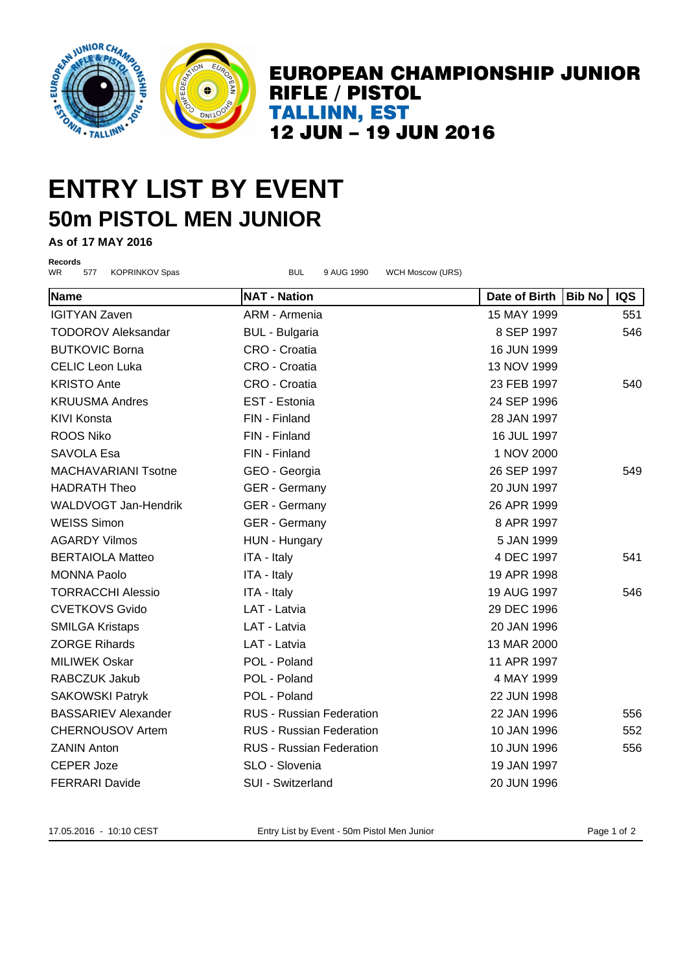

### **ENTRY LIST BY EVENT 50m PISTOL MEN JUNIOR**

**As of 17 MAY 2016**

**Records**

WR 577 KOPRINKOV Spas BUL 9 AUG 1990 WCH Moscow (URS) **Name NAT - Nation Date of Birth Bib No IQS** IGITYAN Zaven ARM - Armenia 15 MAY 1999 551 TODOROV Aleksandar BUL - Bulgaria 1997 based og av atoms 8 SEP 1997 based og atoms 546 BUTKOVIC Borna CRO - Croatia 16 JUN 1999 CELIC Leon Luka CRO - Croatia 13 NOV 1999 KRISTO Ante CRO - Croatia 23 FEB 1997 540 KRUUSMA Andres EST - Estonia 24 SEP 1996 KIVI Konsta FIN - Finland 28 JAN 1997 ROOS Niko 16 JUL 1997 SAVOLA Esa international control FIN - Finland international control international control of the 1 NOV 2000 MACHAVARIANI Tsotne GEO - Georgia 26 SEP 1997 549 HADRATH Theo GER - Germany 20 JUN 1997 WALDVOGT Jan-Hendrik GER - Germany 26 APR 1999 WEISS Simon GER - Germany **8 APR 1997** AGARDY Vilmos HUN - Hungary 5 JAN 1999 BERTAIOLA Matteo **ITA - Italy 1997** 4 DEC 1997 541 MONNA Paolo **ITA - Italy** 19 APR 1998 TORRACCHI Alessio ITA - Italy 19 AUG 1997 546 CVETKOVS Gvido LAT - Latvia 29 DEC 1996 SMILGA Kristaps LAT - Latvia 20 JAN 1996 ZORGE Rihards LAT - Latvia 13 MAR 2000 MILIWEK Oskar POL - Poland 11 APR 1997 RABCZUK Jakub POL - Poland 4 MAY 1999 SAKOWSKI Patryk **POL - Poland 22 JUN 1998** BASSARIEV Alexander **RUS - Russian Federation** 22 JAN 1996 556 CHERNOUSOV Artem **RUS - Russian Federation** 10 JAN 1996 552 ZANIN Anton **RUS - Russian Federation** 10 JUN 1996 556 CEPER Joze SLO - Slovenia 19 JAN 1997 FERRARI Davide SUI - Switzerland 20 JUN 1996

17.05.2016 - 10:10 CEST Entry List by Event - 50m Pistol Men Junior Page 1 of 2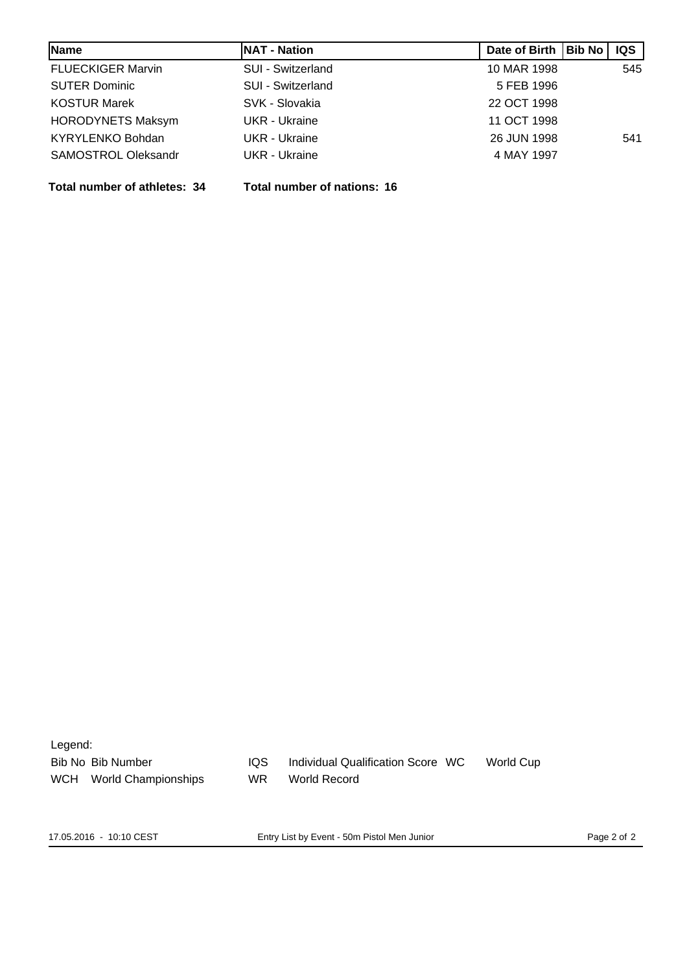| Name                       | <b>NAT - Nation</b>      | Date of Birth   Bib No | <b>IQS</b> |
|----------------------------|--------------------------|------------------------|------------|
| <b>FLUECKIGER Marvin</b>   | <b>SUI - Switzerland</b> | 10 MAR 1998            | 545        |
| <b>SUTER Dominic</b>       | SUI - Switzerland        | 5 FEB 1996             |            |
| <b>KOSTUR Marek</b>        | SVK - Slovakia           | 22 OCT 1998            |            |
| <b>HORODYNETS Maksym</b>   | UKR - Ukraine            | 11 OCT 1998            |            |
| <b>KYRYLENKO Bohdan</b>    | <b>UKR</b> - Ukraine     | 26 JUN 1998            | 541        |
| <b>SAMOSTROL Oleksandr</b> | <b>UKR</b> - Ukraine     | 4 MAY 1997             |            |

**Total number of athletes: 34 Total number of nations: 16**

| Legend:    |                     |           |                                   |           |
|------------|---------------------|-----------|-----------------------------------|-----------|
|            | Bib No Bib Number   | IQS.      | Individual Qualification Score WC | World Cup |
| <b>WCH</b> | World Championships | <b>WR</b> | <b>World Record</b>               |           |
|            |                     |           |                                   |           |
|            |                     |           |                                   |           |

17.05.2016 - 10:10 CEST Entry List by Event - 50m Pistol Men Junior Page 2 of 2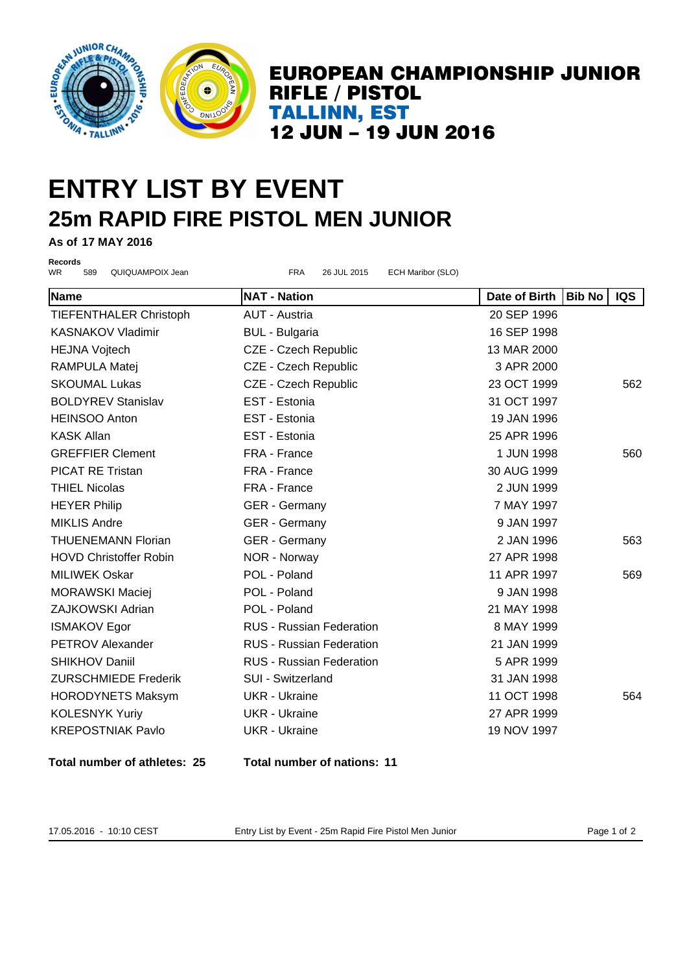

## **ENTRY LIST BY EVENT 25m RAPID FIRE PISTOL MEN JUNIOR**

**As of 17 MAY 2016**

**Records**

WR 589 QUIQUAMPOIX Jean **FRA 26 JUL 2015** ECH Maribor (SLO)

**Name NAT - Nation Date of Birth Bib No IQS** TIEFENTHALER Christoph AUT - Austria 20 SEP 1996 KASNAKOV Vladimir BUL - Bulgaria 16 SEP 1998 HEJNA Vojtech CZE - Czech Republic 13 MAR 2000 RAMPULA Matej  $CZE - Czech$  Republic 3 APR 2000 SKOUMAL Lukas CZE - Czech Republic 23 OCT 1999 562 BOLDYREV Stanislav EST - Estonia 31 OCT 1997 HEINSOO Anton EST - Estonia 19 JAN 1996 KASK Allan EST - Estonia 25 APR 1996 GREFFIER Clement FRA - France 1 1 JUN 1998 560 PICAT RE Tristan **FRA - France FRA - France** 30 AUG 1999 THIEL Nicolas **FRA - France** Communication Communication Communication Communication Communication Communication HEYER Philip CER - Germany The May 1997 MIKLIS Andre GER - Germany GER - Germany 9 JAN 1997 THUENEMANN Florian **GER - Germany 1996** 2 JAN 1996 563 HOVD Christoffer Robin NOR - Norway 27 APR 1998 MILIWEK Oskar POL - Poland 11 APR 1997 569 MORAWSKI Maciei **POL - Poland 1998** 9 JAN 1998 ZAJKOWSKI Adrian POL - Poland 21 MAY 1998 ISMAKOV Egor **RUS - Russian Federation** 8 MAY 1999 PETROV Alexander RUS - Russian Federation 21 JAN 1999 SHIKHOV Daniil **RUS - Russian Federation** 5 APR 1999 ZURSCHMIEDE Frederik SUI - Switzerland 31 JAN 1998 HORODYNETS Maksym UKR - Ukraine 11 OCT 1998 564 KOLESNYK Yuriy **CHAR ING A MILLING UKR - Ukraine** 27 APR 1999 KREPOSTNIAK Pavlo UKR - Ukraine 19 NOV 1997

**Total number of athletes: 25 Total number of nations: 11**

17.05.2016 - 10:10 CEST Entry List by Event - 25m Rapid Fire Pistol Men Junior Page 1 of 2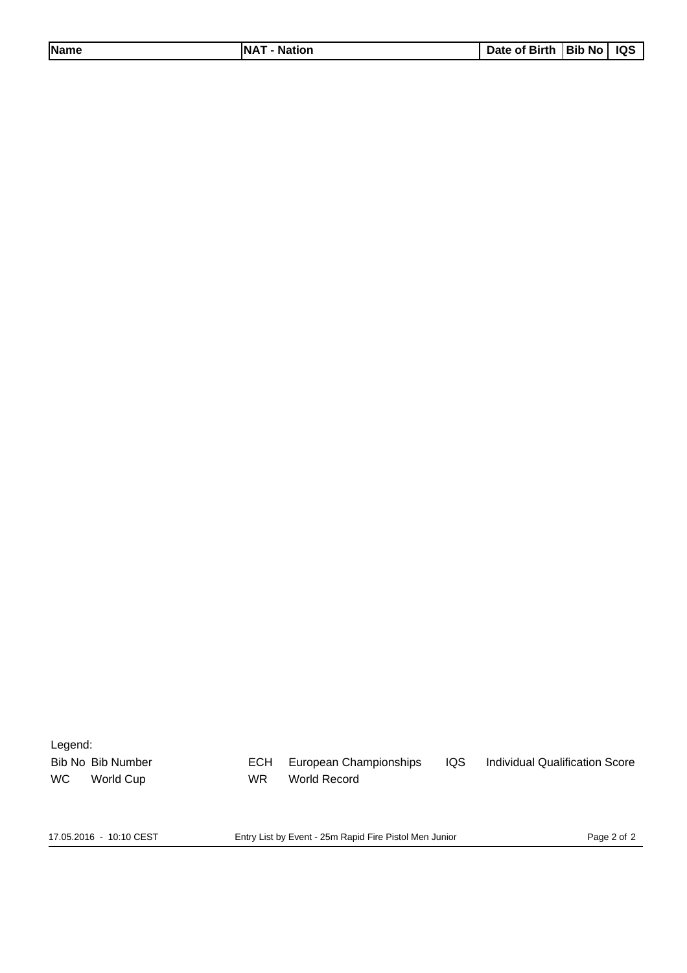| Date of Birth   Bib No   IQS<br><b>Name</b><br><b>INAT</b><br><sup>-</sup> - Nation |  |  |
|-------------------------------------------------------------------------------------|--|--|
|-------------------------------------------------------------------------------------|--|--|

Legend:

Bib No Bib Number ECH European Championships IQS Individual Qualification Score WC World Cup WR World Record

17.05.2016 - 10:10 CEST Entry List by Event - 25m Rapid Fire Pistol Men Junior Page 2 of 2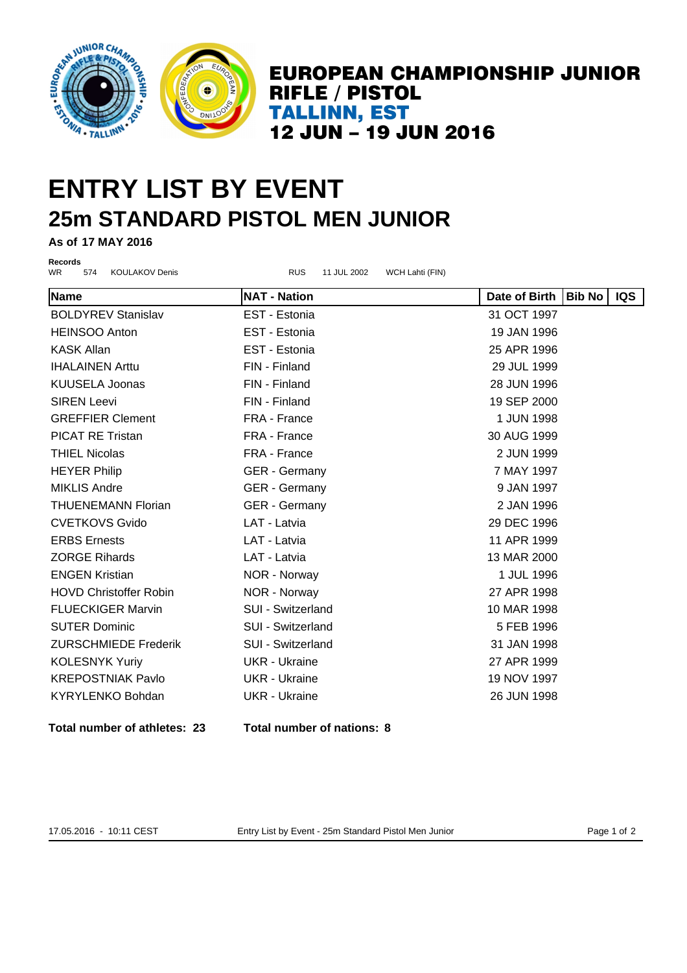

## **ENTRY LIST BY EVENT 25m STANDARD PISTOL MEN JUNIOR**

**As of 17 MAY 2016**

**Records**<br>WR 574 KOULAKOV Denis **RUS** 11 JUL 2002 WCH Lahti (FIN)

| Name                          | <b>NAT - Nation</b>  | Date of Birth   Bib No | IQS |
|-------------------------------|----------------------|------------------------|-----|
| <b>BOLDYREV Stanislav</b>     | EST - Estonia        | 31 OCT 1997            |     |
| <b>HEINSOO Anton</b>          | EST - Estonia        | 19 JAN 1996            |     |
| <b>KASK Allan</b>             | EST - Estonia        | 25 APR 1996            |     |
| <b>IHALAINEN Arttu</b>        | FIN - Finland        | 29 JUL 1999            |     |
| <b>KUUSELA Joonas</b>         | FIN - Finland        | 28 JUN 1996            |     |
| <b>SIREN Leevi</b>            | FIN - Finland        | 19 SEP 2000            |     |
| <b>GREFFIER Clement</b>       | FRA - France         | 1 JUN 1998             |     |
| <b>PICAT RE Tristan</b>       | FRA - France         | 30 AUG 1999            |     |
| <b>THIEL Nicolas</b>          | FRA - France         | 2 JUN 1999             |     |
| <b>HEYER Philip</b>           | <b>GER</b> - Germany | 7 MAY 1997             |     |
| <b>MIKLIS Andre</b>           | <b>GER</b> - Germany | 9 JAN 1997             |     |
| <b>THUENEMANN Florian</b>     | <b>GER</b> - Germany | 2 JAN 1996             |     |
| <b>CVETKOVS Gvido</b>         | LAT - Latvia         | 29 DEC 1996            |     |
| <b>ERBS Ernests</b>           | LAT - Latvia         | 11 APR 1999            |     |
| <b>ZORGE Rihards</b>          | LAT - Latvia         | 13 MAR 2000            |     |
| <b>ENGEN Kristian</b>         | NOR - Norway         | 1 JUL 1996             |     |
| <b>HOVD Christoffer Robin</b> | NOR - Norway         | 27 APR 1998            |     |
| <b>FLUECKIGER Marvin</b>      | SUI - Switzerland    | 10 MAR 1998            |     |
| <b>SUTER Dominic</b>          | SUI - Switzerland    | 5 FEB 1996             |     |
| <b>ZURSCHMIEDE Frederik</b>   | SUI - Switzerland    | 31 JAN 1998            |     |
| <b>KOLESNYK Yuriy</b>         | <b>UKR</b> - Ukraine | 27 APR 1999            |     |
| <b>KREPOSTNIAK Pavlo</b>      | <b>UKR</b> - Ukraine | 19 NOV 1997            |     |
| <b>KYRYLENKO Bohdan</b>       | <b>UKR</b> - Ukraine | 26 JUN 1998            |     |
|                               |                      |                        |     |

**Total number of athletes: 23 Total number of nations: 8**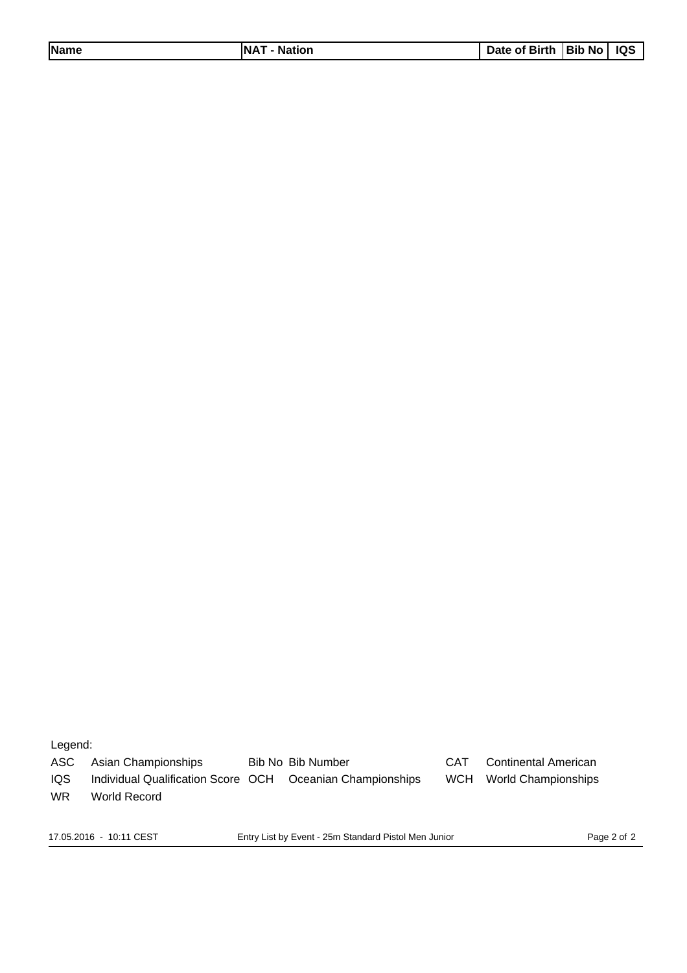| <b>Name</b> | <b>NAT</b><br>- Nation | Date of Birth   Bib No   IQS |  |  |
|-------------|------------------------|------------------------------|--|--|
|-------------|------------------------|------------------------------|--|--|

Legend:

ASC Asian Championships Bib No Bib Number CAT Continental American

IQS Individual Qualification Score OCH Oceanian Championships WCH World Championships

WR World Record

17.05.2016 - 10:11 CEST Entry List by Event - 25m Standard Pistol Men Junior Page 2 of 2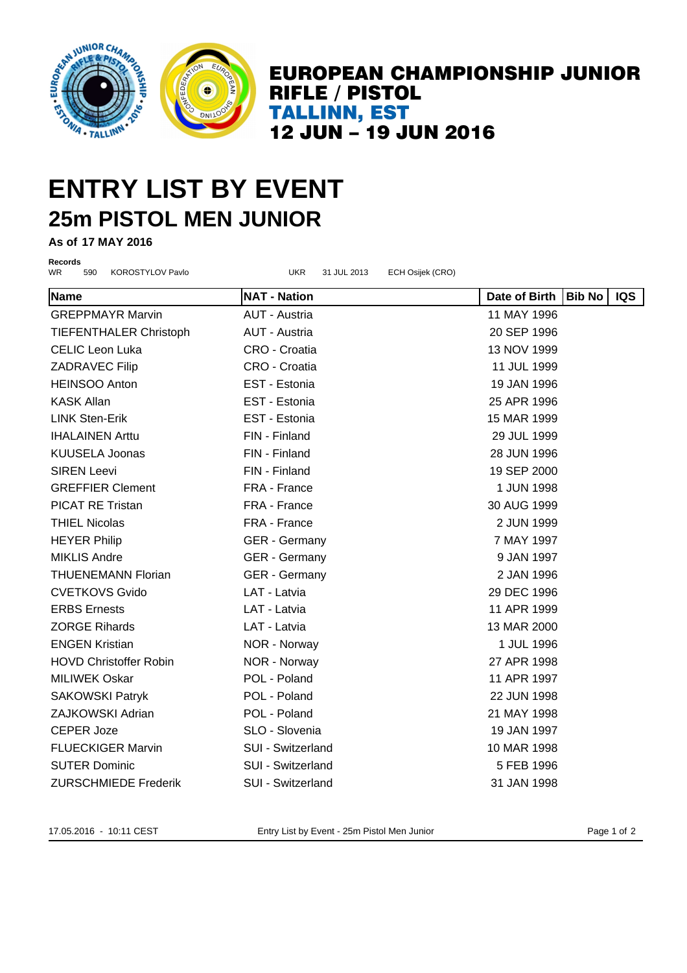

### **ENTRY LIST BY EVENT 25m PISTOL MEN JUNIOR**

**As of 17 MAY 2016**

**Records**

WR 590 KOROSTYLOV Pavlo UKR 31 JUL 2013 ECH Osijek (CRO) **Name NAT - Nation Date of Birth Bib No IQS** GREPPMAYR Marvin AUT - Austria 11 MAY 1996 TIEFENTHALER Christoph AUT - Austria 20 SEP 1996 CELIC Leon Luka CRO - Croatia 13 NOV 1999 ZADRAVEC Filip CRO - Croatia 11 JUL 1999 HEINSOO Anton EST - Estonia 19 JAN 1996 KASK Allan EST - Estonia 25 APR 1996 LINK Sten-Erik EST - Estonia 15 MAR 1999 IHALAINEN Arttu FIN - Finland 29 JUL 1999 KUUSELA Joonas FIN - Finland 28 JUN 1996 SIREN Leevi FIN - Finland 19 SEP 2000 GREFFIER Clement FRA - France 1 1 JUN 1998 PICAT RE Tristan **FRA - France FRA - France** 30 AUG 1999 THIEL Nicolas **FRA** - France **2 JUN 1999** HEYER Philip **GER - Germany COMBUS** 7 MAY 1997 MIKLIS Andre GER - Germany GER - Germany 9 JAN 1997 THUENEMANN Florian GER - Germany 2 JAN 1996 CVETKOVS Gvido LAT - Latvia 29 DEC 1996 ERBS Ernests LAT - Latvia 11 APR 1999 ZORGE Rihards LAT - Latvia 13 MAR 2000 ENGEN Kristian **NOR - Norway 1 JUL 1996** HOVD Christoffer Robin NOR - Norway 27 APR 1998 MILIWEK Oskar POL - Poland 11 APR 1997 SAKOWSKI Patryk **POL - Poland 22 JUN 1998** ZAJKOWSKI Adrian POL - Poland 21 MAY 1998 CEPER Joze SLO - Slovenia 19 JAN 1997 FLUECKIGER Marvin **10 MAR 1998** SUI - Switzerland 10 MAR 1998 SUTER Dominic **SUI - Switzerland** 5 FEB 1996 ZURSCHMIEDE Frederik SUI - Switzerland 31 JAN 1998

17.05.2016 - 10:11 CEST Entry List by Event - 25m Pistol Men Junior Page 1 of 2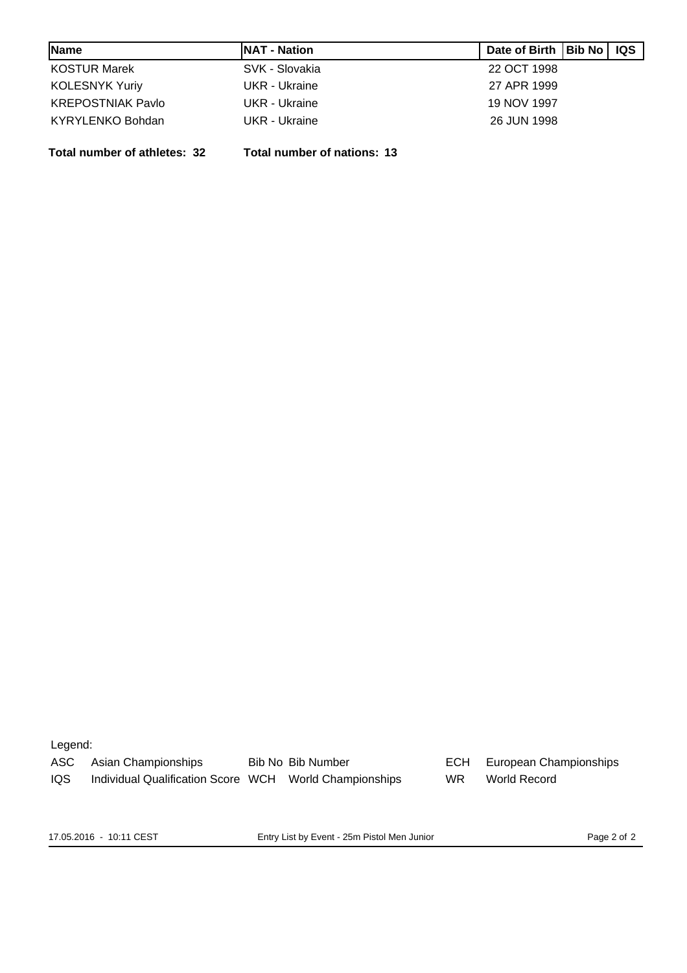| Name                     | <b>INAT - Nation</b> | Date of Birth   Bib No   IQS |  |
|--------------------------|----------------------|------------------------------|--|
| <b>KOSTUR Marek</b>      | SVK - Slovakia       | 22 OCT 1998                  |  |
| <b>KOLESNYK Yuriy</b>    | UKR - Ukraine        | 27 APR 1999                  |  |
| <b>KREPOSTNIAK Pavlo</b> | UKR - Ukraine        | 19 NOV 1997                  |  |
| KYRYLENKO Bohdan         | UKR - Ukraine        | 26 JUN 1998                  |  |

**Total number of athletes: 32 Total number of nations: 13**

Legend:

ASC Asian Championships Bib No Bib Number BCH European Championships IQS Individual Qualification Score WCH World Championships WR World Record

17.05.2016 - 10:11 CEST Entry List by Event - 25m Pistol Men Junior Page 2 of 2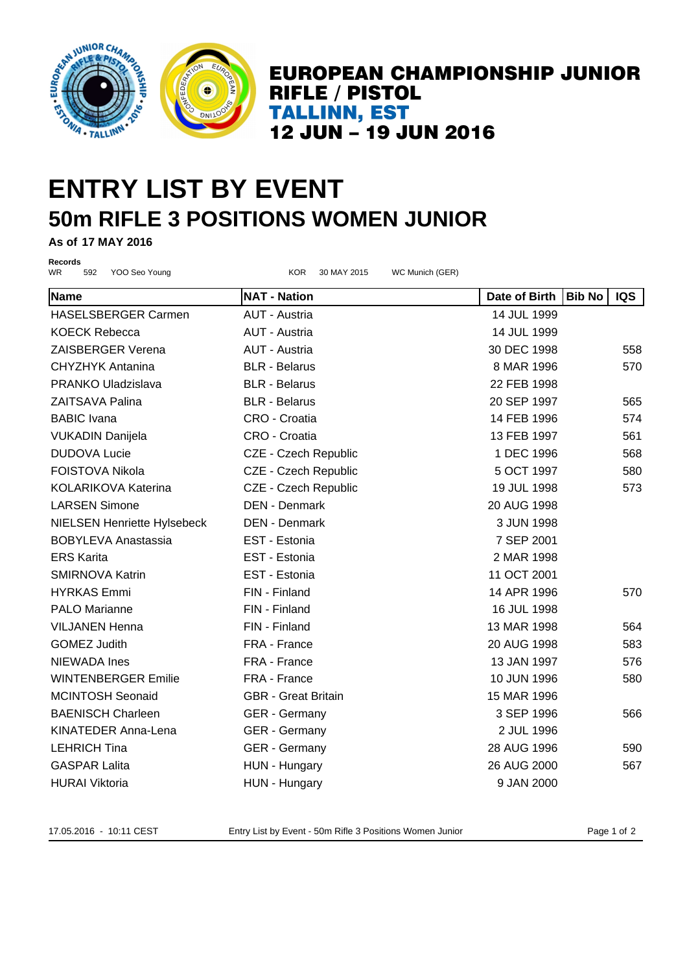

## **ENTRY LIST BY EVENT 50m RIFLE 3 POSITIONS WOMEN JUNIOR**

**As of 17 MAY 2016**

**Records**

WR 592 YOO Seo Young KOR 30 MAY 2015 WC Munich (GER) **Name NAT - Nation Date of Birth Bib No IQS** HASELSBERGER Carmen AUT - Austria 14 JUL 1999 KOECK Rebecca **AUT - Austria 14 JUL 1999** ZAISBERGER Verena AUT - Austria 30 DEC 1998 558 CHYZHYK Antanina BLR - Belarus 8 MAR 1996 570 PRANKO Uladzislava BLR - Belarus 22 FEB 1998 ZAITSAVA Palina BLR - Belarus 20 SEP 1997 565 BABIC Ivana CRO - Croatia 14 FEB 1996 574 VUKADIN Danijela **CRO - Croatia** CRO - Croatia 13 FEB 1997 561 DUDOVA Lucie **CZE - Czech Republic** 1 DEC 1996 568 FOISTOVA Nikola **CZE - Czech Republic** 6 CCT 1997 580 KOLARIKOVA Katerina  $CZE$  - Czech Republic  $19$  JUL 1998 573 LARSEN Simone DEN - Denmark 20 AUG 1998 NIELSEN Henriette Hylsebeck DEN - Denmark 3 JUN 1998 BOBYLEVA Anastassia EST - Estonia 7 SEP 2001 ERS Karita EST - Estonia 2 MAR 1998 SMIRNOVA Katrin EST - Estonia 11 OCT 2001 HYRKAS Emmi FIN - Finland 14 APR 1996 570 PALO Marianne **FIN** - Finland 16 JUL 1998 VILJANEN Henna FIN - Finland 13 MAR 1998 564 GOMEZ Judith **FRA - France FRA - France 1998** 20 AUG 1998 583 NIEWADA Ines FRA - France 13 JAN 1997 576 WINTENBERGER Emilie FRA - France 10 JUN 1996 580 MCINTOSH Seonaid GBR - Great Britain 15 MAR 1996 BAENISCH Charleen GER - Germany 3 SEP 1996 566 KINATEDER Anna-Lena GER - Germany 2 JUL 1996 LEHRICH Tina **GER - Germany 1996** 28 AUG 1996 590 GASPAR Lalita HUN - Hungary 26 AUG 2000 567 HURAI Viktoria **Mulla Component HUN - Hungary Component Component Component Component Component Component Component Component Component Component Component Component Component Component Component Component Component Compon** 

17.05.2016 - 10:11 CEST Entry List by Event - 50m Rifle 3 Positions Women Junior Page 1 of 2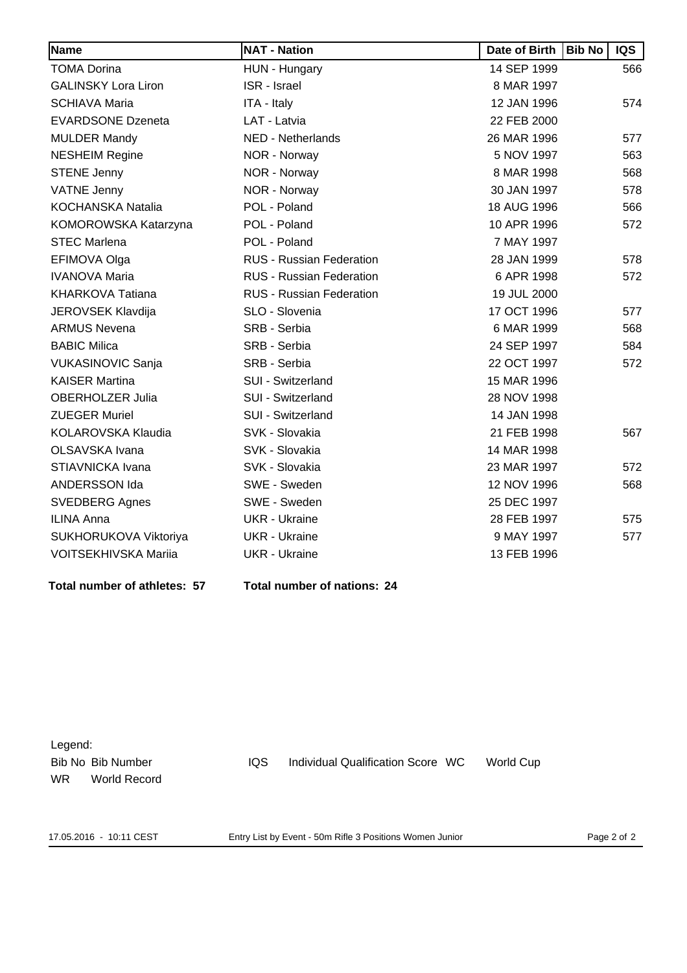| Name                        | <b>NAT - Nation</b>             | Date of Birth | <b>Bib No</b> | IQS |
|-----------------------------|---------------------------------|---------------|---------------|-----|
| <b>TOMA Dorina</b>          | HUN - Hungary                   | 14 SEP 1999   |               | 566 |
| <b>GALINSKY Lora Liron</b>  | <b>ISR</b> - Israel             | 8 MAR 1997    |               |     |
| <b>SCHIAVA Maria</b>        | ITA - Italy                     | 12 JAN 1996   |               | 574 |
| <b>EVARDSONE Dzeneta</b>    | LAT - Latvia                    | 22 FEB 2000   |               |     |
| <b>MULDER Mandy</b>         | NED - Netherlands               | 26 MAR 1996   |               | 577 |
| <b>NESHEIM Regine</b>       | NOR - Norway                    | 5 NOV 1997    |               | 563 |
| <b>STENE Jenny</b>          | NOR - Norway                    | 8 MAR 1998    |               | 568 |
| <b>VATNE Jenny</b>          | NOR - Norway                    | 30 JAN 1997   |               | 578 |
| <b>KOCHANSKA Natalia</b>    | POL - Poland                    | 18 AUG 1996   |               | 566 |
| KOMOROWSKA Katarzyna        | POL - Poland                    | 10 APR 1996   |               | 572 |
| <b>STEC Marlena</b>         | POL - Poland                    | 7 MAY 1997    |               |     |
| EFIMOVA Olga                | RUS - Russian Federation        | 28 JAN 1999   |               | 578 |
| <b>IVANOVA Maria</b>        | RUS - Russian Federation        | 6 APR 1998    |               | 572 |
| <b>KHARKOVA Tatiana</b>     | <b>RUS - Russian Federation</b> | 19 JUL 2000   |               |     |
| <b>JEROVSEK Klavdija</b>    | SLO - Slovenia                  | 17 OCT 1996   |               | 577 |
| <b>ARMUS Nevena</b>         | SRB - Serbia                    | 6 MAR 1999    |               | 568 |
| <b>BABIC Milica</b>         | SRB - Serbia                    | 24 SEP 1997   |               | 584 |
| <b>VUKASINOVIC Sanja</b>    | SRB - Serbia                    | 22 OCT 1997   |               | 572 |
| <b>KAISER Martina</b>       | <b>SUI - Switzerland</b>        | 15 MAR 1996   |               |     |
| <b>OBERHOLZER Julia</b>     | SUI - Switzerland               | 28 NOV 1998   |               |     |
| <b>ZUEGER Muriel</b>        | SUI - Switzerland               | 14 JAN 1998   |               |     |
| KOLAROVSKA Klaudia          | SVK - Slovakia                  | 21 FEB 1998   |               | 567 |
| OLSAVSKA Ivana              | SVK - Slovakia                  | 14 MAR 1998   |               |     |
| STIAVNICKA Ivana            | SVK - Slovakia                  | 23 MAR 1997   |               | 572 |
| ANDERSSON Ida               | SWE - Sweden                    | 12 NOV 1996   |               | 568 |
| <b>SVEDBERG Agnes</b>       | SWE - Sweden                    | 25 DEC 1997   |               |     |
| <b>ILINA Anna</b>           | <b>UKR - Ukraine</b>            | 28 FEB 1997   |               | 575 |
| SUKHORUKOVA Viktoriya       | <b>UKR</b> - Ukraine            | 9 MAY 1997    |               | 577 |
| <b>VOITSEKHIVSKA Mariia</b> | <b>UKR</b> - Ukraine            | 13 FEB 1996   |               |     |

**Total number of athletes: 57 Total number of nations: 24**

| Legend:   |                   |      |                                   |                  |
|-----------|-------------------|------|-----------------------------------|------------------|
|           | Bib No Bib Number | IQS. | Individual Qualification Score WC | <b>World Cup</b> |
| <b>WR</b> | World Record      |      |                                   |                  |

17.05.2016 - 10:11 CEST Entry List by Event - 50m Rifle 3 Positions Women Junior Page 2 of 2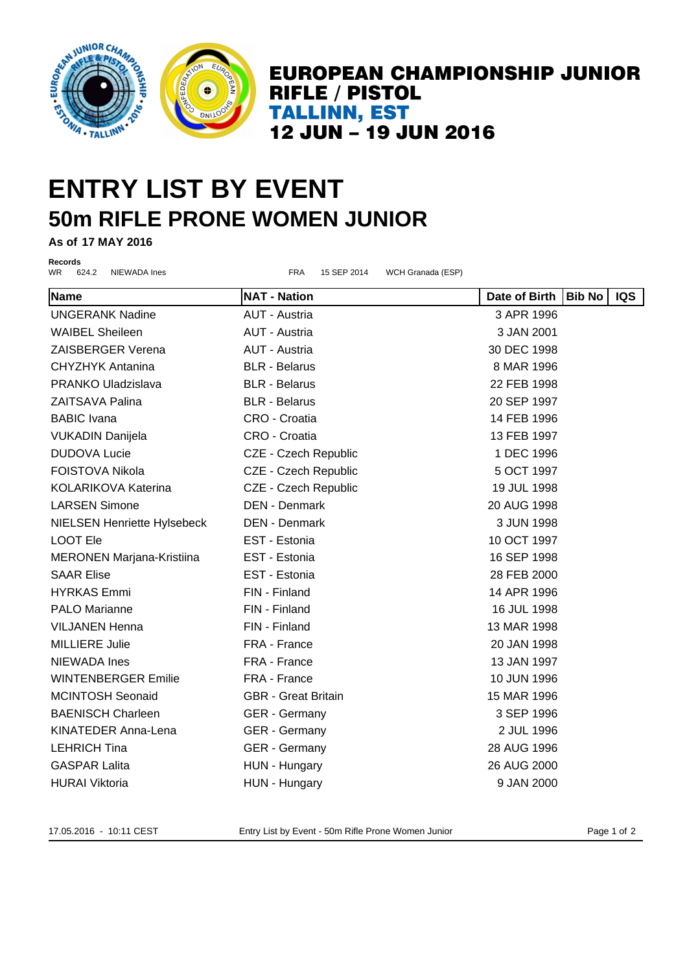

### **ENTRY LIST BY EVENT 50m RIFLE PRONE WOMEN JUNIOR**

**As of 17 MAY 2016**

**Records**<br>WR 624.2

WR 624.2 NIEWADA Ines FRA 15 SEP 2014 WCH Granada (ESP) **Name NAT - Nation Date of Birth Bib No IQS** UNGERANK Nadine AUT - Austria 3 APR 1996 WAIBEL Sheileen **AUT - Austria 3 JAN 2001** 3 JAN 2001 ZAISBERGER Verena AUT - Austria 30 DEC 1998 CHYZHYK Antanina BLR - Belarus 8 MAR 1996 PRANKO Uladzislava BLR - Belarus 22 FEB 1998 ZAITSAVA Palina BLR - Belarus 20 SEP 1997 BABIC Ivana CRO - Croatia 14 FEB 1996 VUKADIN Danijela CRO - Croatia 13 FEB 1997 DUDOVA Lucie **CZE - Czech Republic** 1 DEC 1996 FOISTOVA Nikola **CZE - Czech Republic** 5 OCT 1997 KOLARIKOVA Katerina  $CZE$  - Czech Republic 1998 LARSEN Simone DEN - Denmark 20 AUG 1998 NIELSEN Henriette Hylsebeck DEN - Denmark 3 JUN 1998 LOOT Ele EST - Estonia 10 OCT 1997 MERONEN Marjana-Kristiina EST - Estonia 16 SEP 1998 SAAR Elise EST - Estonia 28 FEB 2000 HYRKAS Emmi FIN - Finland 14 APR 1996 PALO Marianne **FIN** - Finland 16 JUL 1998 VILJANEN Henna FIN - Finland 13 MAR 1998 MILLIERE Julie FRA - France 20 JAN 1998 NIEWADA Ines FRA - France 13 JAN 1997 WINTENBERGER Emilie FRA - France 10 JUN 1996 MCINTOSH Seonaid GBR - Great Britain 15 MAR 1996 BAENISCH Charleen **GER - Germany 3 SEP 1996** KINATEDER Anna-Lena GER - Germany 2 JUL 1996 LEHRICH Tina GER - Germany 28 AUG 1996 GASPAR Lalita **CONFINITY HUN - Hungary CONFINITY 126 AUG 2000** 

17.05.2016 - 10:11 CEST Entry List by Event - 50m Rifle Prone Women Junior Page 1 of 2

HURAI Viktoria **Mullandia (K. 1980)** HUN - Hungary **Propinsi 19 JAN 2000**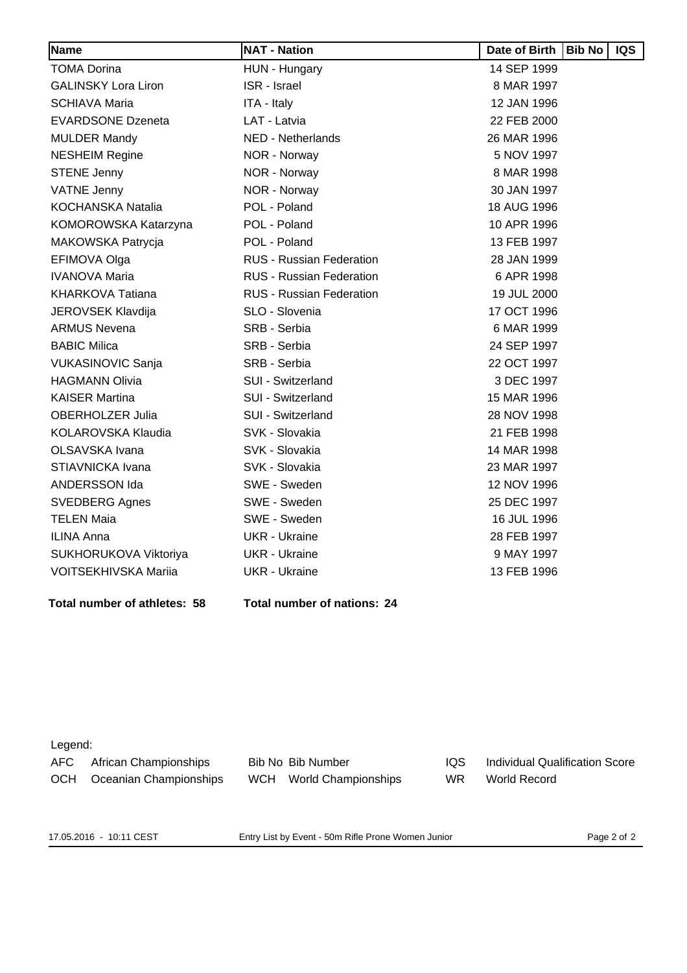| Name                        | <b>NAT - Nation</b>             | Date of Birth | <b>Bib No</b> | <b>IQS</b> |
|-----------------------------|---------------------------------|---------------|---------------|------------|
| <b>TOMA Dorina</b>          | HUN - Hungary                   | 14 SEP 1999   |               |            |
| <b>GALINSKY Lora Liron</b>  | <b>ISR</b> - Israel             | 8 MAR 1997    |               |            |
| <b>SCHIAVA Maria</b>        | ITA - Italy                     | 12 JAN 1996   |               |            |
| <b>EVARDSONE Dzeneta</b>    | LAT - Latvia                    | 22 FEB 2000   |               |            |
| <b>MULDER Mandy</b>         | <b>NED - Netherlands</b>        | 26 MAR 1996   |               |            |
| <b>NESHEIM Regine</b>       | NOR - Norway                    | 5 NOV 1997    |               |            |
| <b>STENE Jenny</b>          | NOR - Norway                    | 8 MAR 1998    |               |            |
| <b>VATNE Jenny</b>          | NOR - Norway                    | 30 JAN 1997   |               |            |
| <b>KOCHANSKA Natalia</b>    | POL - Poland                    | 18 AUG 1996   |               |            |
| KOMOROWSKA Katarzyna        | POL - Poland                    | 10 APR 1996   |               |            |
| MAKOWSKA Patrycja           | POL - Poland                    | 13 FEB 1997   |               |            |
| EFIMOVA Olga                | <b>RUS - Russian Federation</b> | 28 JAN 1999   |               |            |
| <b>IVANOVA Maria</b>        | <b>RUS - Russian Federation</b> | 6 APR 1998    |               |            |
| <b>KHARKOVA Tatiana</b>     | <b>RUS - Russian Federation</b> | 19 JUL 2000   |               |            |
| <b>JEROVSEK Klavdija</b>    | SLO - Slovenia                  | 17 OCT 1996   |               |            |
| <b>ARMUS Nevena</b>         | SRB - Serbia                    | 6 MAR 1999    |               |            |
| <b>BABIC Milica</b>         | SRB - Serbia                    | 24 SEP 1997   |               |            |
| <b>VUKASINOVIC Sanja</b>    | SRB - Serbia                    | 22 OCT 1997   |               |            |
| <b>HAGMANN Olivia</b>       | SUI - Switzerland               | 3 DEC 1997    |               |            |
| <b>KAISER Martina</b>       | SUI - Switzerland               | 15 MAR 1996   |               |            |
| <b>OBERHOLZER Julia</b>     | SUI - Switzerland               | 28 NOV 1998   |               |            |
| KOLAROVSKA Klaudia          | SVK - Slovakia                  | 21 FEB 1998   |               |            |
| OLSAVSKA Ivana              | SVK - Slovakia                  | 14 MAR 1998   |               |            |
| STIAVNICKA Ivana            | SVK - Slovakia                  | 23 MAR 1997   |               |            |
| ANDERSSON Ida               | SWE - Sweden                    | 12 NOV 1996   |               |            |
| <b>SVEDBERG Agnes</b>       | SWE - Sweden                    | 25 DEC 1997   |               |            |
| <b>TELEN Maia</b>           | SWE - Sweden                    | 16 JUL 1996   |               |            |
| <b>ILINA Anna</b>           | <b>UKR</b> - Ukraine            | 28 FEB 1997   |               |            |
| SUKHORUKOVA Viktoriya       | <b>UKR</b> - Ukraine            | 9 MAY 1997    |               |            |
| <b>VOITSEKHIVSKA Mariia</b> | <b>UKR</b> - Ukraine            | 13 FEB 1996   |               |            |

**Total number of athletes: 58 Total number of nations: 24**

#### Legend:

| —————————— |                        |                         |            |                                |
|------------|------------------------|-------------------------|------------|--------------------------------|
| AFC        | African Championships  | Bib No Bib Number       | <b>IQS</b> | Individual Qualification Score |
| <b>OCH</b> | Oceanian Championships | WCH World Championships | WR         | World Record                   |

17.05.2016 - 10:11 CEST Entry List by Event - 50m Rifle Prone Women Junior Page 2 of 2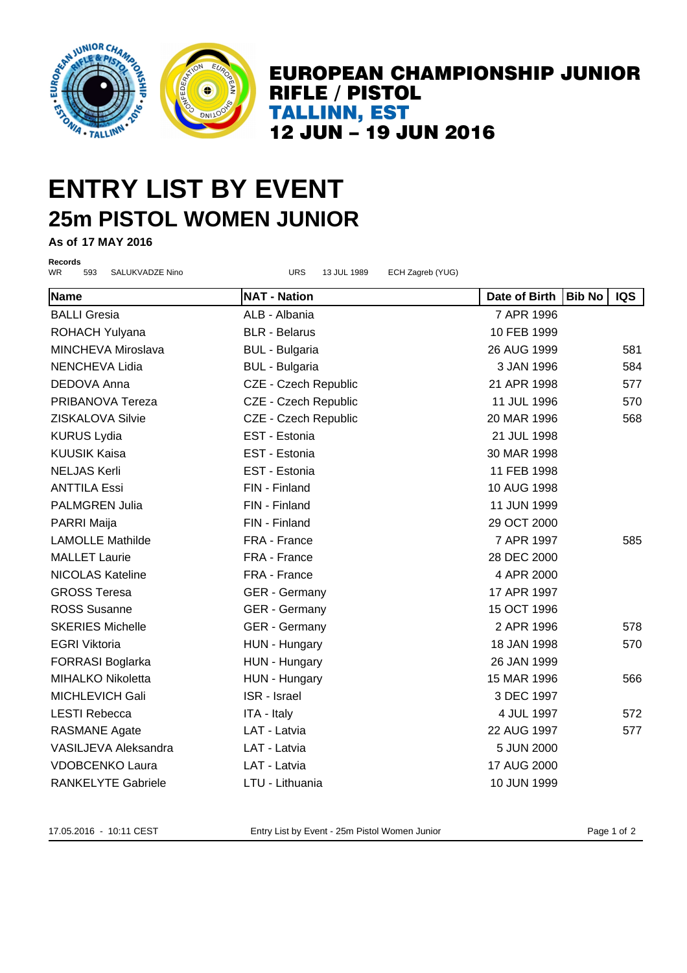

### **ENTRY LIST BY EVENT 25m PISTOL WOMEN JUNIOR**

**As of 17 MAY 2016**

**Records**

WR 593 SALUKVADZE Nino URS 13 JUL 1989 ECH Zagreb (YUG) **Name NAT - Nation Date of Birth Bib No IQS** BALLI Gresia **ALB - Albania** ALB - Albania *7 APR 1996* ROHACH Yulyana **BLR - Belarus BLR - Belarus** 10 FEB 1999 MINCHEVA Miroslava BUL - Bulgaria 26 AUG 1999 581 NENCHEVA Lidia BUL - Bulgaria 3 JAN 1996 584 DEDOVA Anna CZE - Czech Republic 21 APR 1998 577 PRIBANOVA Tereza 
and CZE - Czech Republic  $\overline{C}$   $\overline{C}$   $\overline{C}$   $\overline{C}$   $\overline{C}$   $\overline{C}$   $\overline{C}$   $\overline{C}$   $\overline{C}$   $\overline{C}$   $\overline{C}$   $\overline{C}$   $\overline{C}$   $\overline{C}$   $\overline{C}$   $\overline{C}$   $\overline{C}$   $\overline{C}$ ZISKALOVA Silvie CZE - Czech Republic 20 MAR 1996 568 KURUS Lydia EST - Estonia 21 JUL 1998 KUUSIK Kaisa EST - Estonia 30 MAR 1998 NELJAS Kerli EST - Estonia 11 FEB 1998 ANTTILA Essi FIN - Finland 10 AUG 1998 PALMGREN Julia FIN - Finland 11 JUN 1999 PARRI Maija FIN - Finland 29 OCT 2000 LAMOLLE Mathilde FRA - France 7 APR 1997 585 MALLET Laurie FRA - France 28 DEC 2000 NICOLAS Kateline FRA - France 4 APR 2000 GROSS Teresa GER - Germany 17 APR 1997 ROSS Susanne **GER - Germany 15 OCT 1996** SKERIES Michelle **CER - Germany 2 APR 1996** 578 EGRI Viktoria **18 JAN 1998** 570 FORRASI Boglarka HUN - Hungary 26 JAN 1999 MIHALKO Nikoletta HUN - Hungary 15 MAR 1996 566 MICHLEVICH Gali ISR - Israel 3 DEC 1997 LESTI Rebecca **ITA - Italy 1997** 4 JUL 1997 572 RASMANE Agate **LAT - Latvia CONFINITY 122 AUG 1997** 577 VASILJEVA Aleksandra LAT - Latvia 5 JUN 2000 VDOBCENKO Laura LAT - Latvia 17 AUG 2000 RANKELYTE Gabriele **LTU - Lithuania** 10 JUN 1999

17.05.2016 - 10:11 CEST Entry List by Event - 25m Pistol Women Junior Page 1 of 2